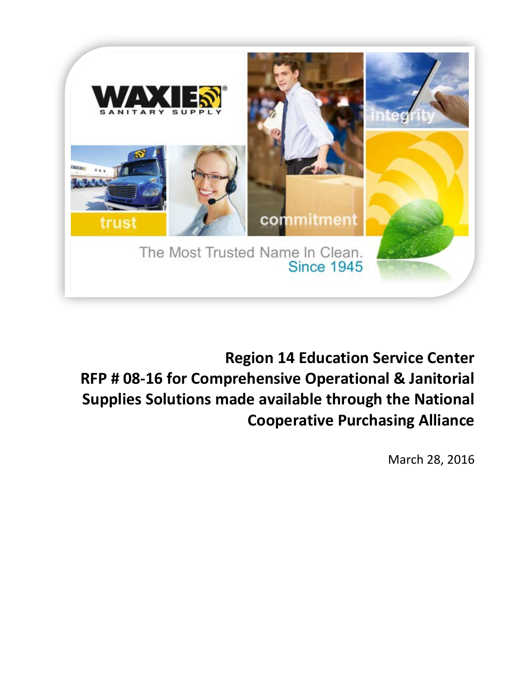

### **Region 14 Education Service Center RFP # 08-16 for Comprehensive Operational & Janitorial Supplies Solutions made available through the National Cooperative Purchasing Alliance**

March 28, 2016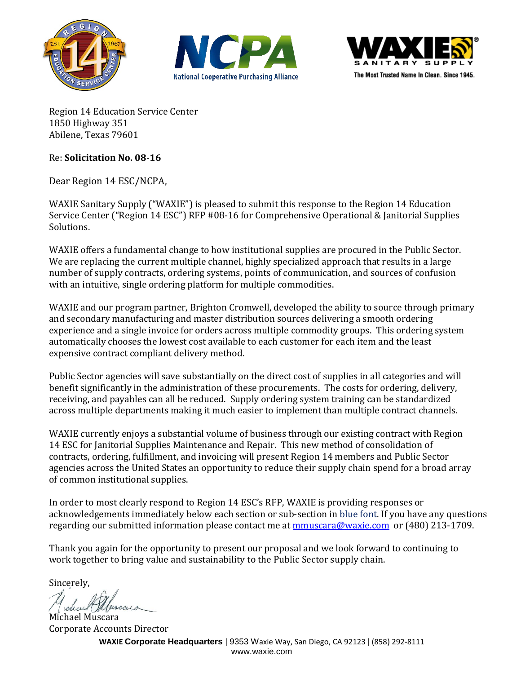





Region 14 Education Service Center 1850 Highway 351 Abilene, Texas 79601

#### Re: **Solicitation No. 08-16**

Dear Region 14 ESC/NCPA,

WAXIE Sanitary Supply ("WAXIE") is pleased to submit this response to the Region 14 Education Service Center ("Region 14 ESC") RFP #08-16 for Comprehensive Operational & Janitorial Supplies Solutions.

WAXIE offers a fundamental change to how institutional supplies are procured in the Public Sector. We are replacing the current multiple channel, highly specialized approach that results in a large number of supply contracts, ordering systems, points of communication, and sources of confusion with an intuitive, single ordering platform for multiple commodities.

WAXIE and our program partner, Brighton Cromwell, developed the ability to source through primary and secondary manufacturing and master distribution sources delivering a smooth ordering experience and a single invoice for orders across multiple commodity groups. This ordering system automatically chooses the lowest cost available to each customer for each item and the least expensive contract compliant delivery method.

Public Sector agencies will save substantially on the direct cost of supplies in all categories and will benefit significantly in the administration of these procurements. The costs for ordering, delivery, receiving, and payables can all be reduced. Supply ordering system training can be standardized across multiple departments making it much easier to implement than multiple contract channels.

WAXIE currently enjoys a substantial volume of business through our existing contract with Region 14 ESC for Janitorial Supplies Maintenance and Repair. This new method of consolidation of contracts, ordering, fulfillment, and invoicing will present Region 14 members and Public Sector agencies across the United States an opportunity to reduce their supply chain spend for a broad array of common institutional supplies.

In order to most clearly respond to Region 14 ESC's RFP, WAXIE is providing responses or acknowledgements immediately below each section or sub-section in blue font. If you have any questions regarding our submitted information please contact me at mmuscara@waxie.com or (480) 213-1709.

Thank you again for the opportunity to present our proposal and we look forward to continuing to work together to bring value and sustainability to the Public Sector supply chain.

Sincerely,

Michael Muscara Corporate Accounts Director

**WAXIE Corporate Headquarters** | 9353 Waxie Way, San Diego, CA 92123 | (858) 292-8111 www.waxie.com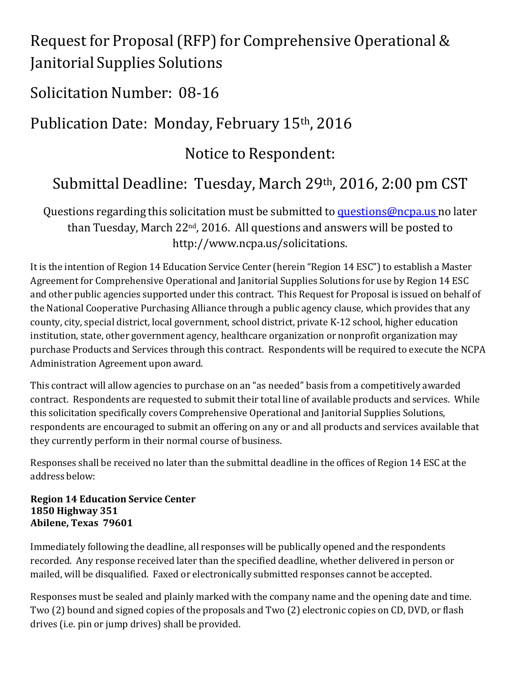### Request for Proposal (RFP) for Comprehensive Operational & Janitorial Supplies Solutions

### Solicitation Number: 08-16

# Publication Date: Monday, February 15th , 2016

Notice to Respondent:

# Submittal Deadline: Tuesday, March 29<sup>th</sup>, 2016, 2:00 pm CST

Questions regarding this solicitation must be submitted to questions@ncpa.us no later than Tuesday, March 22<sup>nd</sup>, 2016. All questions and answers will be posted to http://www.ncpa.us/solicitations.

It is the intention of Region 14 Education Service Center (herein "Region 14 ESC") to establish a Master Agreement for Comprehensive Operational and Janitorial Supplies Solutions for use by Region 14 ESC and other public agencies supported under this contract. This Request for Proposal is issued on behalf of the National Cooperative Purchasing Alliance through a public agency clause, which provides that any county, city, special district, local government, school district, private K-12 school, higher education institution, state, other government agency, healthcare organization or nonprofit organization may purchase Products and Services through this contract. Respondents will be required to execute the NCPA Administration Agreement upon award.

This contract will allow agencies to purchase on an "as needed" basis from a competitively awarded contract. Respondents are requested to submit their total line of available products and services. While this solicitation specifically covers Comprehensive Operational and Janitorial Supplies Solutions, respondents are encouraged to submit an offering on any or and all products and services available that they currently perform in their normal course of business.

Responses shall be received no later than the submittal deadline in the offices of Region 14 ESC at the address below:

**Region 14 Education Service Center 1850 Highway 351 Abilene, Texas 79601**

Immediately following the deadline, all responses will be publically opened and the respondents recorded. Any response received later than the specified deadline, whether delivered in person or mailed, will be disqualified. Faxed or electronically submitted responses cannot be accepted.

Responses must be sealed and plainly marked with the company name and the opening date and time. Two (2) bound and signed copies of the proposals and Two (2) electronic copies on CD, DVD, or flash drives (i.e. pin or jump drives) shall be provided.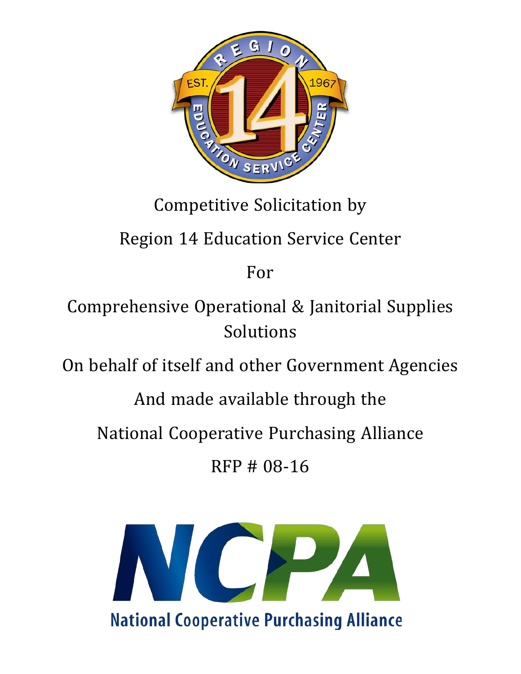

# Competitive Solicitation by

# Region 14 Education Service Center

For

Comprehensive Operational & Janitorial Supplies Solutions

On behalf of itself and other Government Agencies

And made available through the

National Cooperative Purchasing Alliance

RFP # 08-16

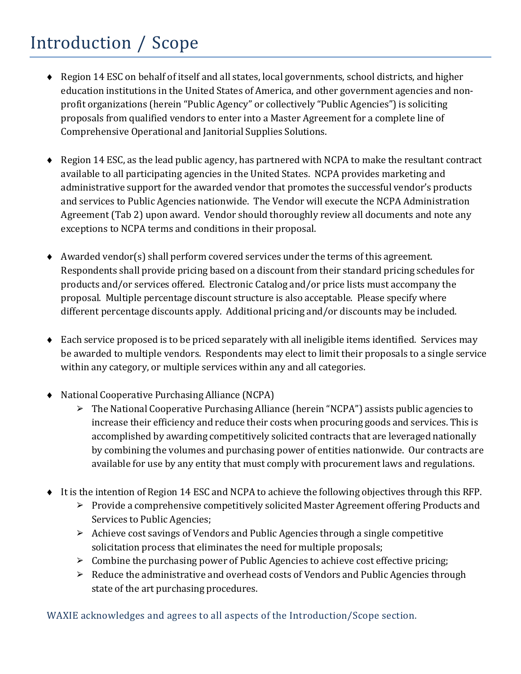# Introduction / Scope

- ♦ Region 14 ESC on behalf of itself and all states, local governments, school districts, and higher education institutions in the United States of America, and other government agencies and nonprofit organizations (herein "Public Agency" or collectively "Public Agencies") is soliciting proposals from qualified vendors to enter into a Master Agreement for a complete line of Comprehensive Operational and Janitorial Supplies Solutions.
- ♦ Region 14 ESC, as the lead public agency, has partnered with NCPA to make the resultant contract available to all participating agencies in the United States. NCPA provides marketing and administrative support for the awarded vendor that promotes the successful vendor's products and services to Public Agencies nationwide. The Vendor will execute the NCPA Administration Agreement (Tab 2) upon award. Vendor should thoroughly review all documents and note any exceptions to NCPA terms and conditions in their proposal.
- ♦ Awarded vendor(s) shall perform covered services under the terms of this agreement. Respondents shall provide pricing based on a discount from their standard pricing schedules for products and/or services offered. Electronic Catalog and/or price lists must accompany the proposal. Multiple percentage discount structure is also acceptable. Please specify where different percentage discounts apply. Additional pricing and/or discounts may be included.
- $\bullet$  Each service proposed is to be priced separately with all ineligible items identified. Services may be awarded to multiple vendors. Respondents may elect to limit their proposals to a single service within any category, or multiple services within any and all categories.
- ♦ National Cooperative Purchasing Alliance (NCPA)
	- ➢ The National Cooperative Purchasing Alliance (herein "NCPA") assists public agencies to increase their efficiency and reduce their costs when procuring goods and services. This is accomplished by awarding competitively solicited contracts that are leveraged nationally by combining the volumes and purchasing power of entities nationwide. Our contracts are available for use by any entity that must comply with procurement laws and regulations.
- ♦ It is the intention of Region 14 ESC and NCPA to achieve the following objectives through this RFP.
	- ➢ Provide a comprehensive competitively solicited Master Agreement offering Products and Services to Public Agencies;
	- ➢ Achieve cost savings of Vendors and Public Agencies through a single competitive solicitation process that eliminates the need for multiple proposals;
	- $\triangleright$  Combine the purchasing power of Public Agencies to achieve cost effective pricing;
	- $\triangleright$  Reduce the administrative and overhead costs of Vendors and Public Agencies through state of the art purchasing procedures.

WAXIE acknowledges and agrees to all aspects of the Introduction/Scope section.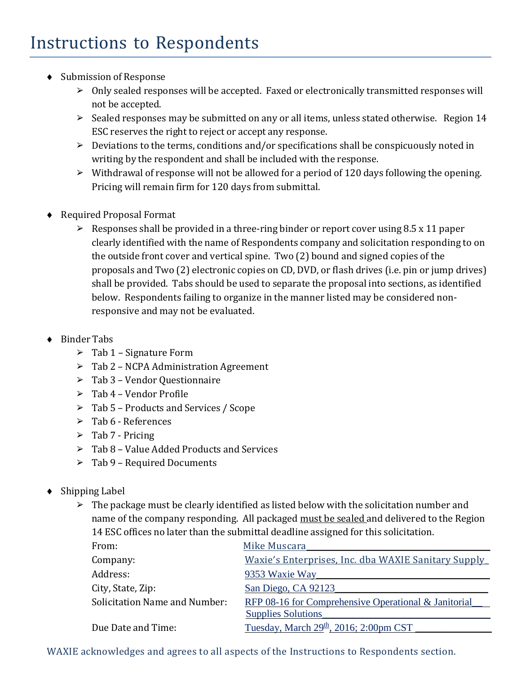- ♦ Submission of Response
	- $\triangleright$  Only sealed responses will be accepted. Faxed or electronically transmitted responses will not be accepted.
	- $\geq$  Sealed responses may be submitted on any or all items, unless stated otherwise. Region 14 ESC reserves the right to reject or accept any response.
	- $\triangleright$  Deviations to the terms, conditions and/or specifications shall be conspicuously noted in writing by the respondent and shall be included with the response.
	- $\triangleright$  Withdrawal of response will not be allowed for a period of 120 days following the opening. Pricing will remain firm for 120 days from submittal.
- ♦ Required Proposal Format
	- $\geq$  Responses shall be provided in a three-ring binder or report cover using 8.5 x 11 paper clearly identified with the name of Respondents company and solicitation responding to on the outside front cover and vertical spine. Two (2) bound and signed copies of the proposals and Two (2) electronic copies on CD, DVD, or flash drives (i.e. pin or jump drives) shall be provided. Tabs should be used to separate the proposal into sections, as identified below. Respondents failing to organize in the manner listed may be considered nonresponsive and may not be evaluated.
- ♦ Binder Tabs
	- $\geq$  Tab 1 Signature Form
	- $\triangleright$  Tab 2 NCPA Administration Agreement
	- ➢ Tab 3 Vendor Questionnaire
	- $\geq$  Tab 4 Vendor Profile
	- ➢ Tab 5 Products and Services / Scope
	- ➢ Tab 6 References
	- $\triangleright$  Tab 7 Pricing
	- $\geq$  Tab 8 Value Added Products and Services
	- $\geq$  Tab 9 Required Documents
- ♦ Shipping Label
	- $\triangleright$  The package must be clearly identified as listed below with the solicitation number and name of the company responding. All packaged must be sealed and delivered to the Region 14 ESC offices no later than the submittal deadline assigned for this solicitation.

| From:                                | Mike Muscara                                         |
|--------------------------------------|------------------------------------------------------|
| Company:                             | Waxie's Enterprises, Inc. dba WAXIE Sanitary Supply  |
| Address:                             | 9353 Waxie Way                                       |
| City, State, Zip:                    | San Diego, CA 92123                                  |
| <b>Solicitation Name and Number:</b> | RFP 08-16 for Comprehensive Operational & Janitorial |
|                                      | <b>Supplies Solutions</b>                            |
| Due Date and Time:                   | Tuesday, March $29th$ , 2016; 2:00pm CST             |

WAXIE acknowledges and agrees to all aspects of the Instructions to Respondents section.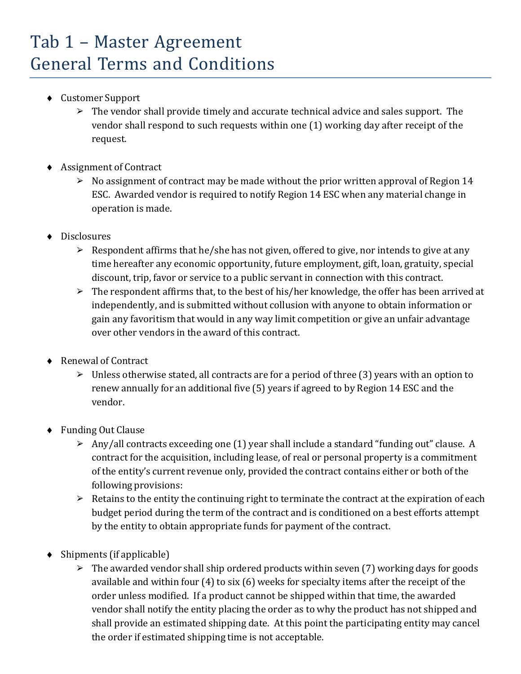### Tab 1 – Master Agreement General Terms and Conditions

- ♦ Customer Support
	- $\triangleright$  The vendor shall provide timely and accurate technical advice and sales support. The vendor shall respond to such requests within one (1) working day after receipt of the request.
- ♦ Assignment of Contract
	- $\triangleright$  No assignment of contract may be made without the prior written approval of Region 14 ESC. Awarded vendor is required to notify Region 14 ESC when any material change in operation is made.
- Disclosures
	- $\triangleright$  Respondent affirms that he/she has not given, offered to give, nor intends to give at any time hereafter any economic opportunity, future employment, gift, loan, gratuity, special discount, trip, favor or service to a public servant in connection with this contract.
	- $\triangleright$  The respondent affirms that, to the best of his/her knowledge, the offer has been arrived at independently, and is submitted without collusion with anyone to obtain information or gain any favoritism that would in any way limit competition or give an unfair advantage over other vendors in the award of this contract.
- ♦ Renewal of Contract
	- $\triangleright$  Unless otherwise stated, all contracts are for a period of three (3) years with an option to renew annually for an additional five (5) years if agreed to by Region 14 ESC and the vendor.
- ♦ Funding Out Clause
	- $\triangleright$  Any/all contracts exceeding one (1) year shall include a standard "funding out" clause. A contract for the acquisition, including lease, of real or personal property is a commitment of the entity's current revenue only, provided the contract contains either or both of the following provisions:
	- $\triangleright$  Retains to the entity the continuing right to terminate the contract at the expiration of each budget period during the term of the contract and is conditioned on a best efforts attempt by the entity to obtain appropriate funds for payment of the contract.
- ♦ Shipments (if applicable)
	- $\triangleright$  The awarded vendor shall ship ordered products within seven (7) working days for goods available and within four (4) to six (6) weeks for specialty items after the receipt of the order unless modified. If a product cannot be shipped within that time, the awarded vendor shall notify the entity placing the order as to why the product has not shipped and shall provide an estimated shipping date. At this point the participating entity may cancel the order if estimated shipping time is not acceptable.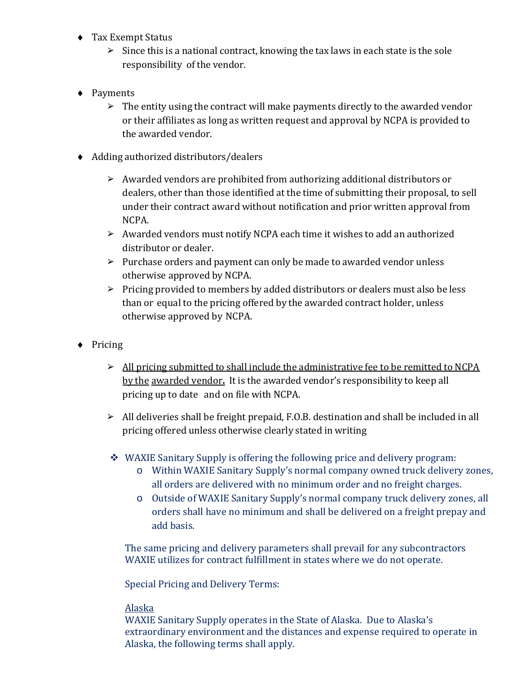- ♦ Tax Exempt Status
	- $\triangleright$  Since this is a national contract, knowing the tax laws in each state is the sole responsibility of the vendor.
- ♦ Payments
	- $\triangleright$  The entity using the contract will make payments directly to the awarded vendor or their affiliates as long as written request and approval by NCPA is provided to the awarded vendor.
- ♦ Adding authorized distributors/dealers
	- ➢ Awarded vendors are prohibited from authorizing additional distributors or dealers, other than those identified at the time of submitting their proposal, to sell under their contract award without notification and prior written approval from NCPA.
	- ➢ Awarded vendors must notify NCPA each time it wishes to add an authorized distributor or dealer.
	- $\triangleright$  Purchase orders and payment can only be made to awarded vendor unless otherwise approved by NCPA.
	- ➢ Pricing provided to members by added distributors or dealers must also be less than or equal to the pricing offered by the awarded contract holder, unless otherwise approved by NCPA.
- ♦ Pricing
	- ➢ All pricing submitted to shall include the administrative fee to be remitted to NCPA by the awarded vendor**.** It is the awarded vendor's responsibility to keep all pricing up to date and on file with NCPA.
	- ➢ All deliveries shall be freight prepaid, F.O.B. destination and shall be included in all pricing offered unless otherwise clearly stated in writing
	- WAXIE Sanitary Supply is offering the following price and delivery program:
		- o Within WAXIE Sanitary Supply's normal company owned truck delivery zones, all orders are delivered with no minimum order and no freight charges.
		- o Outside of WAXIE Sanitary Supply's normal company truck delivery zones, all orders shall have no minimum and shall be delivered on a freight prepay and add basis.

The same pricing and delivery parameters shall prevail for any subcontractors WAXIE utilizes for contract fulfillment in states where we do not operate.

Special Pricing and Delivery Terms:

#### Alaska

WAXIE Sanitary Supply operates in the State of Alaska. Due to Alaska's extraordinary environment and the distances and expense required to operate in Alaska, the following terms shall apply.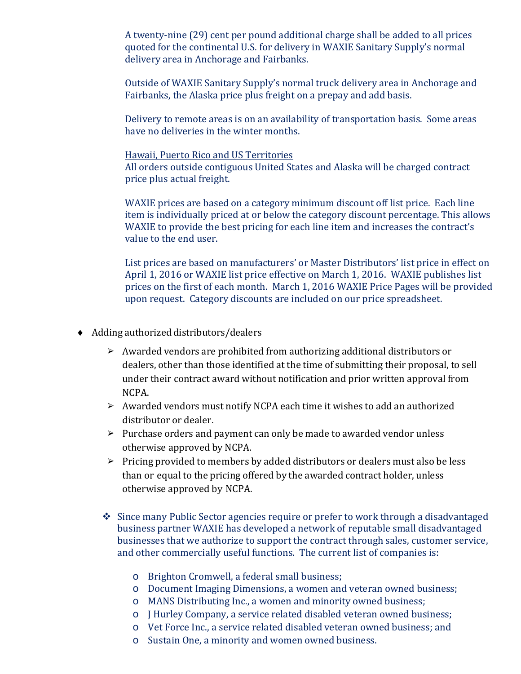A twenty-nine (29) cent per pound additional charge shall be added to all prices quoted for the continental U.S. for delivery in WAXIE Sanitary Supply's normal delivery area in Anchorage and Fairbanks.

Outside of WAXIE Sanitary Supply's normal truck delivery area in Anchorage and Fairbanks, the Alaska price plus freight on a prepay and add basis.

Delivery to remote areas is on an availability of transportation basis. Some areas have no deliveries in the winter months.

#### Hawaii, Puerto Rico and US Territories

All orders outside contiguous United States and Alaska will be charged contract price plus actual freight.

WAXIE prices are based on a category minimum discount off list price. Each line item is individually priced at or below the category discount percentage. This allows WAXIE to provide the best pricing for each line item and increases the contract's value to the end user.

List prices are based on manufacturers' or Master Distributors' list price in effect on April 1, 2016 or WAXIE list price effective on March 1, 2016. WAXIE publishes list prices on the first of each month. March 1, 2016 WAXIE Price Pages will be provided upon request. Category discounts are included on our price spreadsheet.

- ♦ Adding authorized distributors/dealers
	- ➢ Awarded vendors are prohibited from authorizing additional distributors or dealers, other than those identified at the time of submitting their proposal, to sell under their contract award without notification and prior written approval from NCPA.
	- ➢ Awarded vendors must notify NCPA each time it wishes to add an authorized distributor or dealer.
	- ➢ Purchase orders and payment can only be made to awarded vendor unless otherwise approved by NCPA.
	- $\triangleright$  Pricing provided to members by added distributors or dealers must also be less than or equal to the pricing offered by the awarded contract holder, unless otherwise approved by NCPA.
	- Since many Public Sector agencies require or prefer to work through a disadvantaged business partner WAXIE has developed a network of reputable small disadvantaged businesses that we authorize to support the contract through sales, customer service, and other commercially useful functions. The current list of companies is:
		- o Brighton Cromwell, a federal small business;
		- o Document Imaging Dimensions, a women and veteran owned business;
		- o MANS Distributing Inc., a women and minority owned business;
		- o J Hurley Company, a service related disabled veteran owned business;
		- o Vet Force Inc., a service related disabled veteran owned business; and
		- o Sustain One, a minority and women owned business.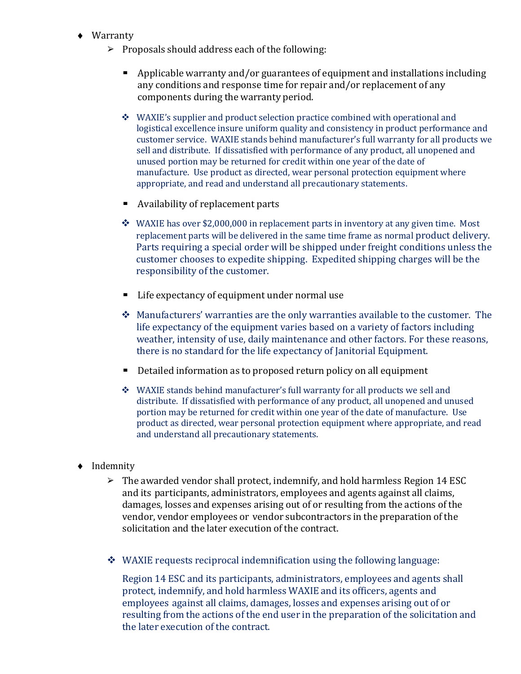- ♦ Warranty
	- $\triangleright$  Proposals should address each of the following:
		- Applicable warranty and/or guarantees of equipment and installations including any conditions and response time for repair and/or replacement of any components during the warranty period.
		- WAXIE's supplier and product selection practice combined with operational and logistical excellence insure uniform quality and consistency in product performance and customer service. WAXIE stands behind manufacturer's full warranty for all products we sell and distribute. If dissatisfied with performance of any product, all unopened and unused portion may be returned for credit within one year of the date of manufacture. Use product as directed, wear personal protection equipment where appropriate, and read and understand all precautionary statements.
		- Availability of replacement parts
		- $\cdot$  WAXIE has over \$2,000,000 in replacement parts in inventory at any given time. Most replacement parts will be delivered in the same time frame as normal product delivery. Parts requiring a special order will be shipped under freight conditions unless the customer chooses to expedite shipping. Expedited shipping charges will be the responsibility of the customer.
		- Life expectancy of equipment under normal use
		- $\triangle$  Manufacturers' warranties are the only warranties available to the customer. The life expectancy of the equipment varies based on a variety of factors including weather, intensity of use, daily maintenance and other factors. For these reasons, there is no standard for the life expectancy of Janitorial Equipment.
		- Detailed information as to proposed return policy on all equipment
		- WAXIE stands behind manufacturer's full warranty for all products we sell and distribute. If dissatisfied with performance of any product, all unopened and unused portion may be returned for credit within one year of the date of manufacture. Use product as directed, wear personal protection equipment where appropriate, and read and understand all precautionary statements.
- ♦ Indemnity
	- $\geq$  The awarded vendor shall protect, indemnify, and hold harmless Region 14 ESC and its participants, administrators, employees and agents against all claims, damages, losses and expenses arising out of or resulting from the actions of the vendor, vendor employees or vendor subcontractors in the preparation of the solicitation and the later execution of the contract.
	- $\div$  WAXIE requests reciprocal indemnification using the following language:

Region 14 ESC and its participants, administrators, employees and agents shall protect, indemnify, and hold harmless WAXIE and its officers, agents and employees against all claims, damages, losses and expenses arising out of or resulting from the actions of the end user in the preparation of the solicitation and the later execution of the contract.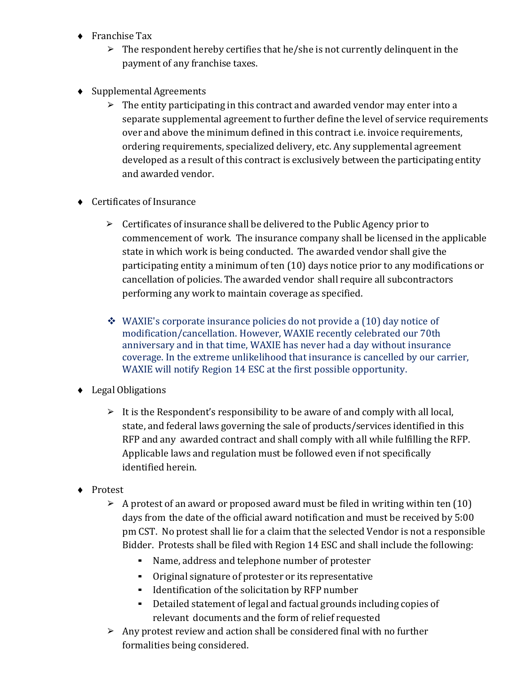- ♦ Franchise Tax
	- $\triangleright$  The respondent hereby certifies that he/she is not currently delinguent in the payment of any franchise taxes.
- ♦ Supplemental Agreements
	- $\triangleright$  The entity participating in this contract and awarded vendor may enter into a separate supplemental agreement to further define the level of service requirements over and above the minimum defined in this contract i.e. invoice requirements, ordering requirements, specialized delivery, etc. Any supplemental agreement developed as a result of this contract is exclusively between the participating entity and awarded vendor.
- ♦ Certificates of Insurance
	- $\triangleright$  Certificates of insurance shall be delivered to the Public Agency prior to commencement of work. The insurance company shall be licensed in the applicable state in which work is being conducted. The awarded vendor shall give the participating entity a minimum of ten (10) days notice prior to any modifications or cancellation of policies. The awarded vendor shall require all subcontractors performing any work to maintain coverage as specified.
	- WAXIE's corporate insurance policies do not provide a (10) day notice of modification/cancellation. However, WAXIE recently celebrated our 70th anniversary and in that time, WAXIE has never had a day without insurance coverage. In the extreme unlikelihood that insurance is cancelled by our carrier, WAXIE will notify Region 14 ESC at the first possible opportunity.
- ♦ Legal Obligations
	- $\triangleright$  It is the Respondent's responsibility to be aware of and comply with all local, state, and federal laws governing the sale of products/services identified in this RFP and any awarded contract and shall comply with all while fulfilling the RFP. Applicable laws and regulation must be followed even if not specifically identified herein.
- ♦ Protest
	- $\geq$  A protest of an award or proposed award must be filed in writing within ten (10) days from the date of the official award notification and must be received by 5:00 pm CST. No protest shall lie for a claim that the selected Vendor is not a responsible Bidder. Protests shall be filed with Region 14 ESC and shall include the following:
		- Name, address and telephone number of protester
		- Original signature of protester or its representative
		- Identification of the solicitation by RFP number
		- Detailed statement of legal and factual grounds including copies of relevant documents and the form of relief requested
	- ➢ Any protest review and action shall be considered final with no further formalities being considered.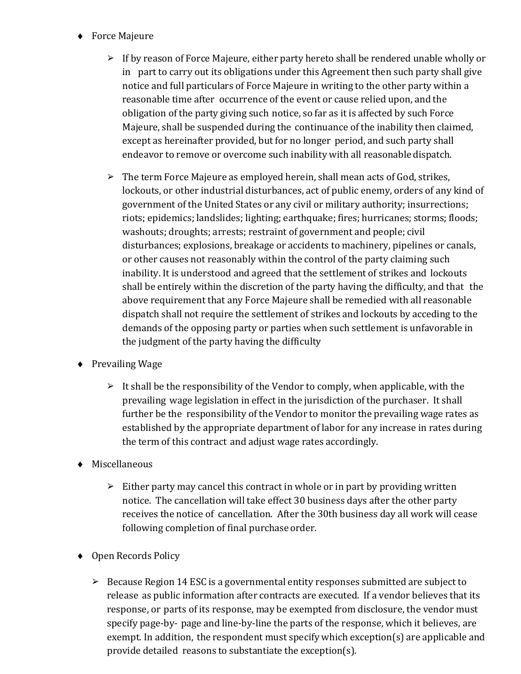- ♦ Force Majeure
	- ➢ If by reason of Force Majeure, either party hereto shall be rendered unable wholly or in part to carry out its obligations under this Agreement then such party shall give notice and full particulars of Force Majeure in writing to the other party within a reasonable time after occurrence of the event or cause relied upon, and the obligation of the party giving such notice, so far as it is affected by such Force Majeure, shall be suspended during the continuance of the inability then claimed, except as hereinafter provided, but for no longer period, and such party shall endeavor to remove or overcome such inability with all reasonable dispatch.
	- $\triangleright$  The term Force Majeure as employed herein, shall mean acts of God, strikes, lockouts, or other industrial disturbances, act of public enemy, orders of any kind of government of the United States or any civil or military authority; insurrections; riots; epidemics; landslides; lighting; earthquake; fires; hurricanes; storms; floods; washouts; droughts; arrests; restraint of government and people; civil disturbances; explosions, breakage or accidents to machinery, pipelines or canals, or other causes not reasonably within the control of the party claiming such inability. It is understood and agreed that the settlement of strikes and lockouts shall be entirely within the discretion of the party having the difficulty, and that the above requirement that any Force Majeure shall be remedied with all reasonable dispatch shall not require the settlement of strikes and lockouts by acceding to the demands of the opposing party or parties when such settlement is unfavorable in the judgment of the party having the difficulty
- ♦ Prevailing Wage
	- $\triangleright$  It shall be the responsibility of the Vendor to comply, when applicable, with the prevailing wage legislation in effect in the jurisdiction of the purchaser. It shall further be the responsibility of the Vendor to monitor the prevailing wage rates as established by the appropriate department of labor for any increase in rates during the term of this contract and adjust wage rates accordingly.
- ♦ Miscellaneous
	- $\triangleright$  Either party may cancel this contract in whole or in part by providing written notice. The cancellation will take effect 30 business days after the other party receives the notice of cancellation. After the 30th business day all work will cease following completion of final purchase order.
- ♦ Open Records Policy
	- $\geq$  Because Region 14 ESC is a governmental entity responses submitted are subject to release as public information after contracts are executed. If a vendor believes that its response, or parts of its response, may be exempted from disclosure, the vendor must specify page-by- page and line-by-line the parts of the response, which it believes, are exempt. In addition, the respondent must specify which exception(s) are applicable and provide detailed reasons to substantiate the exception(s).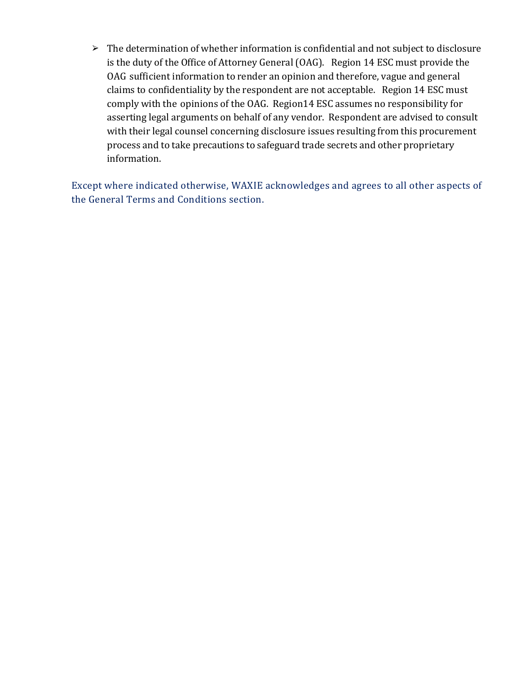➢ The determination of whether information is confidential and not subject to disclosure is the duty of the Office of Attorney General (OAG). Region 14 ESC must provide the OAG sufficient information to render an opinion and therefore, vague and general claims to confidentiality by the respondent are not acceptable. Region 14 ESC must comply with the opinions of the OAG. Region14 ESC assumes no responsibility for asserting legal arguments on behalf of any vendor. Respondent are advised to consult with their legal counsel concerning disclosure issues resulting from this procurement process and to take precautions to safeguard trade secrets and other proprietary information.

Except where indicated otherwise, WAXIE acknowledges and agrees to all other aspects of the General Terms and Conditions section.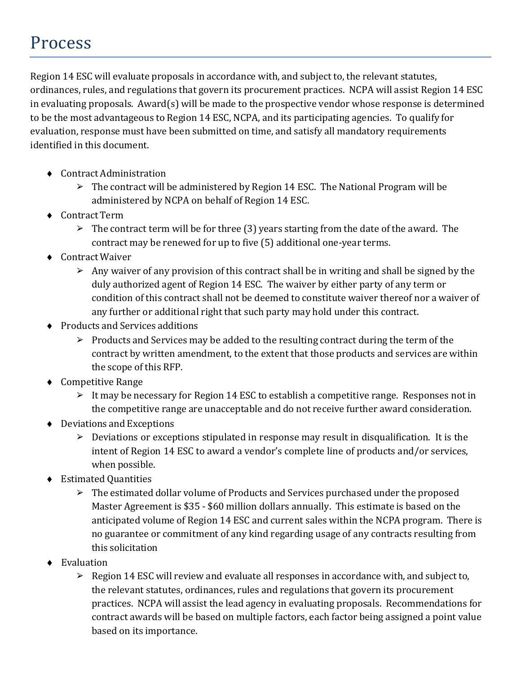### Process

Region 14 ESC will evaluate proposals in accordance with, and subject to, the relevant statutes, ordinances, rules, and regulations that govern its procurement practices. NCPA will assist Region 14 ESC in evaluating proposals. Award(s) will be made to the prospective vendor whose response is determined to be the most advantageous to Region 14 ESC, NCPA, and its participating agencies. To qualify for evaluation, response must have been submitted on time, and satisfy all mandatory requirements identified in this document.

- ♦ Contract Administration
	- $\triangleright$  The contract will be administered by Region 14 ESC. The National Program will be administered by NCPA on behalf of Region 14 ESC.
- ♦ Contract Term
	- $\geq$  The contract term will be for three (3) years starting from the date of the award. The contract may be renewed for up to five (5) additional one-year terms.
- ♦ Contract Waiver
	- $\triangleright$  Any waiver of any provision of this contract shall be in writing and shall be signed by the duly authorized agent of Region 14 ESC. The waiver by either party of any term or condition of this contract shall not be deemed to constitute waiver thereof nor a waiver of any further or additional right that such party may hold under this contract.
- ♦ Products and Services additions
	- $\triangleright$  Products and Services may be added to the resulting contract during the term of the contract by written amendment, to the extent that those products and services are within the scope of this RFP.
- ♦ Competitive Range
	- $\triangleright$  It may be necessary for Region 14 ESC to establish a competitive range. Responses not in the competitive range are unacceptable and do not receive further award consideration.
- ♦ Deviations and Exceptions
	- $\triangleright$  Deviations or exceptions stipulated in response may result in disqualification. It is the intent of Region 14 ESC to award a vendor's complete line of products and/or services, when possible.
- ♦ Estimated Quantities
	- ➢ The estimated dollar volume of Products and Services purchased under the proposed Master Agreement is \$35 - \$60 million dollars annually. This estimate is based on the anticipated volume of Region 14 ESC and current sales within the NCPA program. There is no guarantee or commitment of any kind regarding usage of any contracts resulting from this solicitation
- Evaluation
	- ➢ Region 14 ESC will review and evaluate all responses in accordance with, and subject to, the relevant statutes, ordinances, rules and regulations that govern its procurement practices. NCPA will assist the lead agency in evaluating proposals. Recommendations for contract awards will be based on multiple factors, each factor being assigned a point value based on its importance.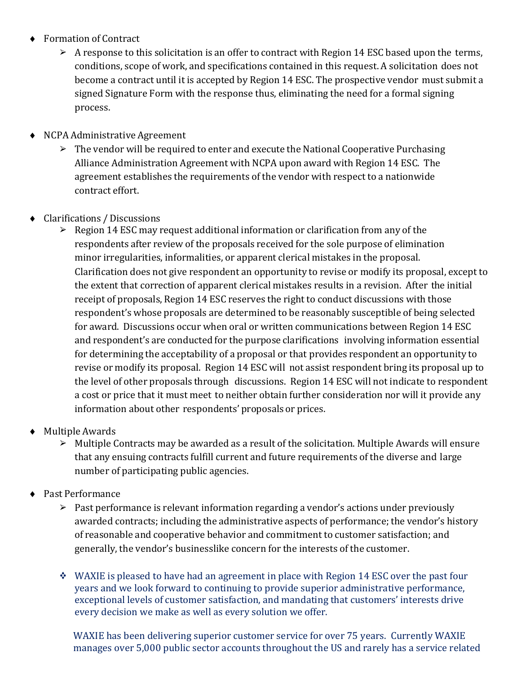- ♦ Formation of Contract
	- $\triangleright$  A response to this solicitation is an offer to contract with Region 14 ESC based upon the terms, conditions, scope of work, and specifications contained in this request. A solicitation does not become a contract until it is accepted by Region 14 ESC. The prospective vendor must submit a signed Signature Form with the response thus, eliminating the need for a formal signing process.
- ♦ NCPA Administrative Agreement
	- $\triangleright$  The vendor will be required to enter and execute the National Cooperative Purchasing Alliance Administration Agreement with NCPA upon award with Region 14 ESC. The agreement establishes the requirements of the vendor with respect to a nationwide contract effort.
- ♦ Clarifications / Discussions
	- $\triangleright$  Region 14 ESC may request additional information or clarification from any of the respondents after review of the proposals received for the sole purpose of elimination minor irregularities, informalities, or apparent clerical mistakes in the proposal. Clarification does not give respondent an opportunity to revise or modify its proposal, except to the extent that correction of apparent clerical mistakes results in a revision. After the initial receipt of proposals, Region 14 ESC reserves the right to conduct discussions with those respondent's whose proposals are determined to be reasonably susceptible of being selected for award. Discussions occur when oral or written communications between Region 14 ESC and respondent's are conducted for the purpose clarifications involving information essential for determining the acceptability of a proposal or that provides respondent an opportunity to revise or modify its proposal. Region 14 ESC will not assist respondent bring its proposal up to the level of other proposals through discussions. Region 14 ESC will not indicate to respondent a cost or price that it must meet to neither obtain further consideration nor will it provide any information about other respondents' proposals or prices.
- ♦ Multiple Awards
	- ➢ Multiple Contracts may be awarded as a result of the solicitation. Multiple Awards will ensure that any ensuing contracts fulfill current and future requirements of the diverse and large number of participating public agencies.
- ♦ Past Performance
	- ➢ Past performance is relevant information regarding a vendor's actions under previously awarded contracts; including the administrative aspects of performance; the vendor's history of reasonable and cooperative behavior and commitment to customer satisfaction; and generally, the vendor's businesslike concern for the interests of the customer.
	- $\div$  WAXIE is pleased to have had an agreement in place with Region 14 ESC over the past four years and we look forward to continuing to provide superior administrative performance, exceptional levels of customer satisfaction, and mandating that customers' interests drive every decision we make as well as every solution we offer.

WAXIE has been delivering superior customer service for over 75 years. Currently WAXIE manages over 5,000 public sector accounts throughout the US and rarely has a service related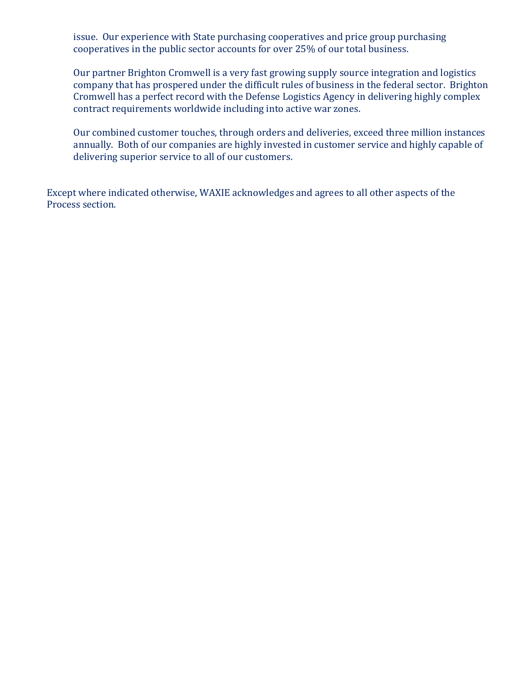issue. Our experience with State purchasing cooperatives and price group purchasing cooperatives in the public sector accounts for over 25% of our total business.

Our partner Brighton Cromwell is a very fast growing supply source integration and logistics company that has prospered under the difficult rules of business in the federal sector. Brighton Cromwell has a perfect record with the Defense Logistics Agency in delivering highly complex contract requirements worldwide including into active war zones.

Our combined customer touches, through orders and deliveries, exceed three million instances annually. Both of our companies are highly invested in customer service and highly capable of delivering superior service to all of our customers.

Except where indicated otherwise, WAXIE acknowledges and agrees to all other aspects of the Process section.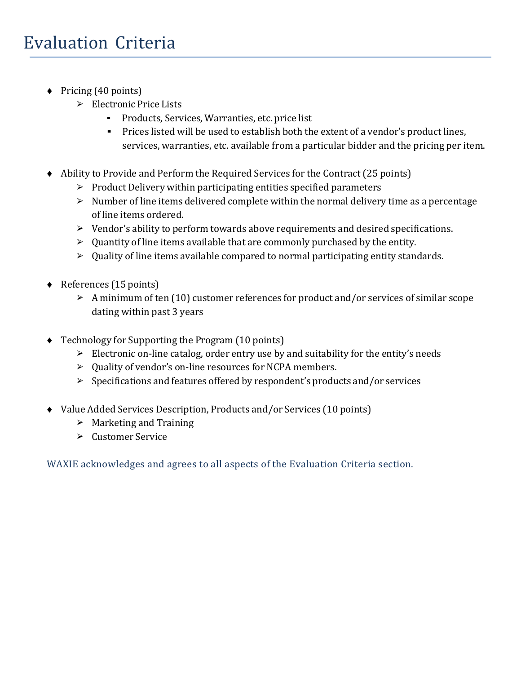- ♦ Pricing (40 points)
	- ➢ Electronic Price Lists
		- Products, Services, Warranties, etc. price list
		- Prices listed will be used to establish both the extent of a vendor's product lines, services, warranties, etc. available from a particular bidder and the pricing per item.
- ♦ Ability to Provide and Perform the Required Services for the Contract (25 points)
	- $\triangleright$  Product Delivery within participating entities specified parameters
	- $\triangleright$  Number of line items delivered complete within the normal delivery time as a percentage of line items ordered.
	- ➢ Vendor's ability to perform towards above requirements and desired specifications.
	- $\triangleright$  Quantity of line items available that are commonly purchased by the entity.
	- ➢ Quality of line items available compared to normal participating entity standards.
- ♦ References (15 points)
	- $\triangleright$  A minimum of ten (10) customer references for product and/or services of similar scope dating within past 3 years
- ♦ Technology for Supporting the Program (10 points)
	- $\triangleright$  Electronic on-line catalog, order entry use by and suitability for the entity's needs
	- ➢ Quality of vendor's on-line resources for NCPA members.
	- ➢ Specifications and features offered by respondent's products and/or services
- ♦ Value Added Services Description, Products and/or Services (10 points)
	- $\triangleright$  Marketing and Training
	- ➢ Customer Service

WAXIE acknowledges and agrees to all aspects of the Evaluation Criteria section.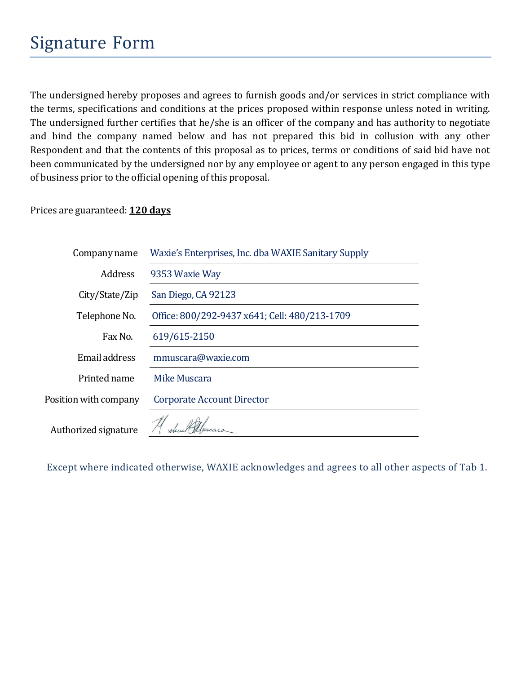The undersigned hereby proposes and agrees to furnish goods and/or services in strict compliance with the terms, specifications and conditions at the prices proposed within response unless noted in writing. The undersigned further certifies that he/she is an officer of the company and has authority to negotiate and bind the company named below and has not prepared this bid in collusion with any other Respondent and that the contents of this proposal as to prices, terms or conditions of said bid have not been communicated by the undersigned nor by any employee or agent to any person engaged in this type of business prior to the official opening of this proposal.

#### Prices are guaranteed: **120 days**

| Company name          | Waxie's Enterprises, Inc. dba WAXIE Sanitary Supply |
|-----------------------|-----------------------------------------------------|
| <b>Address</b>        | 9353 Waxie Way                                      |
| City/State/Zip        | San Diego, CA 92123                                 |
| Telephone No.         | Office: 800/292-9437 x641; Cell: 480/213-1709       |
| Fax No.               | 619/615-2150                                        |
| Email address         | mmuscara@waxie.com                                  |
| Printed name          | Mike Muscara                                        |
| Position with company | Corporate Account Director                          |
| Authorized signature  |                                                     |

Except where indicated otherwise, WAXIE acknowledges and agrees to all other aspects of Tab 1.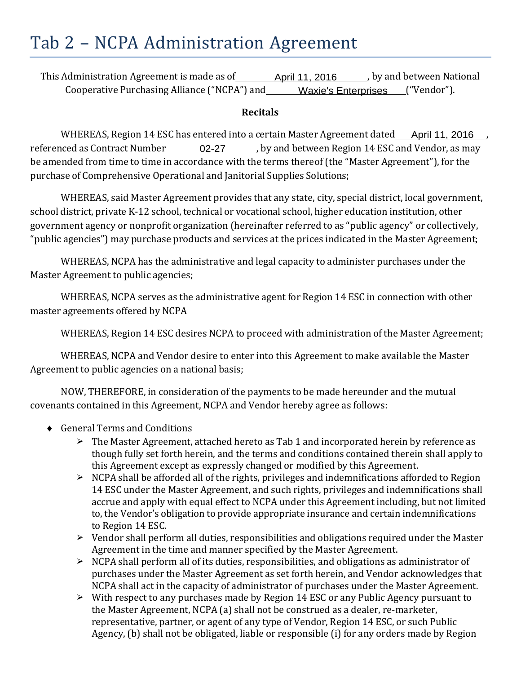### Tab 2 – NCPA Administration Agreement

This Administration Agreement is made as of\_\_\_\_\_\_\_\_\_\_April 11, 2016\_\_\_\_\_\_\_, by and between National Cooperative Purchasing Alliance ("NCPA") and \_\_\_\_\_\_ Waxie's Enterprises \_\_\_("Vendor").

#### **Recitals**

WHEREAS, Region 14 ESC has entered into a certain Master Agreement dated\_\_\_\_April 11, 2016\_\_\_, referenced as Contract Number\_\_\_\_\_\_\_\_ 02-27 \_\_\_\_\_\_, by and between Region 14 ESC and Vendor, as may be amended from time to time in accordance with the terms thereof (the "Master Agreement"), for the purchase of Comprehensive Operational and Janitorial Supplies Solutions;

WHEREAS, said Master Agreement provides that any state, city, special district, local government, school district, private K-12 school, technical or vocational school, higher education institution, other government agency or nonprofit organization (hereinafter referred to as "public agency" or collectively, "public agencies") may purchase products and services at the prices indicated in the Master Agreement;

WHEREAS, NCPA has the administrative and legal capacity to administer purchases under the Master Agreement to public agencies;

WHEREAS, NCPA serves as the administrative agent for Region 14 ESC in connection with other master agreements offered by NCPA

WHEREAS, Region 14 ESC desires NCPA to proceed with administration of the Master Agreement;

WHEREAS, NCPA and Vendor desire to enter into this Agreement to make available the Master Agreement to public agencies on a national basis;

NOW, THEREFORE, in consideration of the payments to be made hereunder and the mutual covenants contained in this Agreement, NCPA and Vendor hereby agree as follows:

- ♦ General Terms and Conditions
	- $\geq$  The Master Agreement, attached hereto as Tab 1 and incorporated herein by reference as though fully set forth herein, and the terms and conditions contained therein shall apply to this Agreement except as expressly changed or modified by this Agreement.
	- ➢ NCPA shall be afforded all of the rights, privileges and indemnifications afforded to Region 14 ESC under the Master Agreement, and such rights, privileges and indemnifications shall accrue and apply with equal effect to NCPA under this Agreement including, but not limited to, the Vendor's obligation to provide appropriate insurance and certain indemnifications to Region 14 ESC.
	- $\triangleright$  Vendor shall perform all duties, responsibilities and obligations required under the Master Agreement in the time and manner specified by the Master Agreement.
	- ➢ NCPA shall perform all of its duties, responsibilities, and obligations as administrator of purchases under the Master Agreement as set forth herein, and Vendor acknowledges that NCPA shall act in the capacity of administrator of purchases under the Master Agreement.
	- ➢ With respect to any purchases made by Region 14 ESC or any Public Agency pursuant to the Master Agreement, NCPA (a) shall not be construed as a dealer, re-marketer, representative, partner, or agent of any type of Vendor, Region 14 ESC, or such Public Agency, (b) shall not be obligated, liable or responsible (i) for any orders made by Region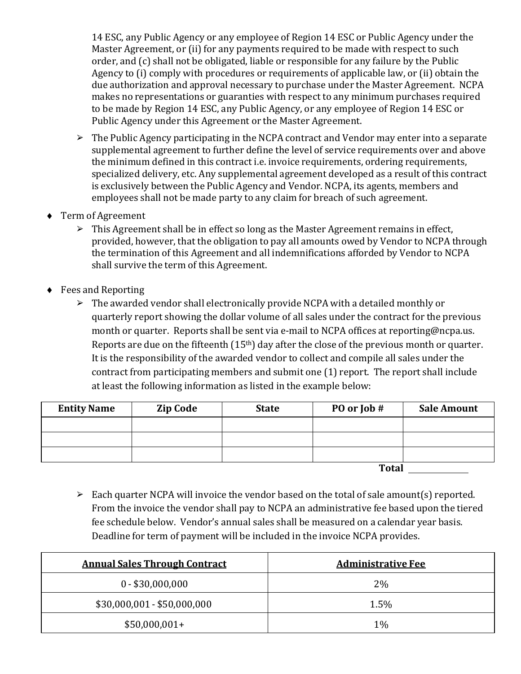14 ESC, any Public Agency or any employee of Region 14 ESC or Public Agency under the Master Agreement, or (ii) for any payments required to be made with respect to such order, and (c) shall not be obligated, liable or responsible for any failure by the Public Agency to (i) comply with procedures or requirements of applicable law, or (ii) obtain the due authorization and approval necessary to purchase under the Master Agreement. NCPA makes no representations or guaranties with respect to any minimum purchases required to be made by Region 14 ESC, any Public Agency, or any employee of Region 14 ESC or Public Agency under this Agreement or the Master Agreement.

- ➢ The Public Agency participating in the NCPA contract and Vendor may enter into a separate supplemental agreement to further define the level of service requirements over and above the minimum defined in this contract i.e. invoice requirements, ordering requirements, specialized delivery, etc. Any supplemental agreement developed as a result of this contract is exclusively between the Public Agency and Vendor. NCPA, its agents, members and employees shall not be made party to any claim for breach of such agreement.
- ♦ Term of Agreement
	- $\triangleright$  This Agreement shall be in effect so long as the Master Agreement remains in effect, provided, however, that the obligation to pay all amounts owed by Vendor to NCPA through the termination of this Agreement and all indemnifications afforded by Vendor to NCPA shall survive the term of this Agreement.
- ♦ Fees and Reporting
	- ➢ The awarded vendor shall electronically provide NCPA with a detailed monthly or quarterly report showing the dollar volume of all sales under the contract for the previous month or quarter. Reports shall be sent via e-mail to NCPA offices at reporting@ncpa.us. Reports are due on the fifteenth (15<sup>th</sup>) day after the close of the previous month or quarter. It is the responsibility of the awarded vendor to collect and compile all sales under the contract from participating members and submit one (1) report. The report shall include at least the following information as listed in the example below:

| <b>Entity Name</b> | <b>Zip Code</b> | <b>State</b> | PO or Job #  | <b>Sale Amount</b> |
|--------------------|-----------------|--------------|--------------|--------------------|
|                    |                 |              |              |                    |
|                    |                 |              |              |                    |
|                    |                 |              |              |                    |
|                    |                 |              | <b>Total</b> |                    |

➢ Each quarter NCPA will invoice the vendor based on the total of sale amount(s) reported. From the invoice the vendor shall pay to NCPA an administrative fee based upon the tiered fee schedule below. Vendor's annual sales shall be measured on a calendar year basis. Deadline for term of payment will be included in the invoice NCPA provides.

| <b>Annual Sales Through Contract</b> | <b>Administrative Fee</b> |
|--------------------------------------|---------------------------|
| $0 - $30,000,000$                    | $2\%$                     |
| $$30,000,001 - $50,000,000$          | 1.5%                      |
| $$50,000,001+$                       | $1\%$                     |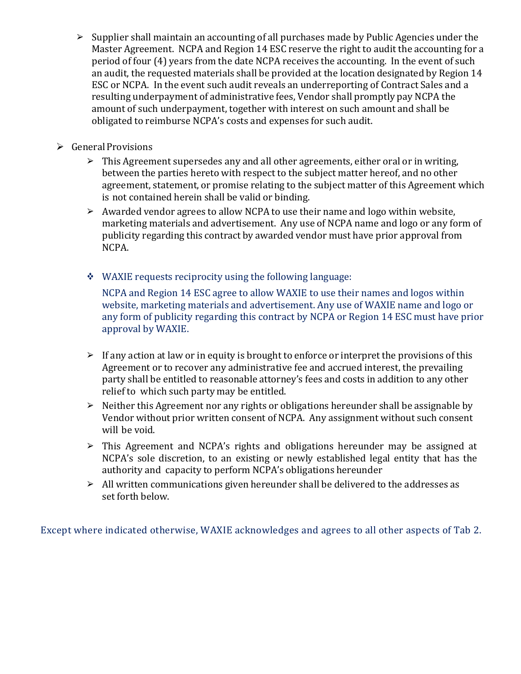- ➢ Supplier shall maintain an accounting of all purchases made by Public Agencies under the Master Agreement. NCPA and Region 14 ESC reserve the right to audit the accounting for a period of four (4) years from the date NCPA receives the accounting. In the event of such an audit, the requested materials shall be provided at the location designated by Region 14 ESC or NCPA. In the event such audit reveals an underreporting of Contract Sales and a resulting underpayment of administrative fees, Vendor shall promptly pay NCPA the amount of such underpayment, together with interest on such amount and shall be obligated to reimburse NCPA's costs and expenses for such audit.
- $\triangleright$  General Provisions
	- $\triangleright$  This Agreement supersedes any and all other agreements, either oral or in writing, between the parties hereto with respect to the subject matter hereof, and no other agreement, statement, or promise relating to the subject matter of this Agreement which is not contained herein shall be valid or binding.
	- $\triangleright$  Awarded vendor agrees to allow NCPA to use their name and logo within website, marketing materials and advertisement. Any use of NCPA name and logo or any form of publicity regarding this contract by awarded vendor must have prior approval from NCPA.
	- $\div$  WAXIE requests reciprocity using the following language:

NCPA and Region 14 ESC agree to allow WAXIE to use their names and logos within website, marketing materials and advertisement. Any use of WAXIE name and logo or any form of publicity regarding this contract by NCPA or Region 14 ESC must have prior approval by WAXIE.

- $\triangleright$  If any action at law or in equity is brought to enforce or interpret the provisions of this Agreement or to recover any administrative fee and accrued interest, the prevailing party shall be entitled to reasonable attorney's fees and costs in addition to any other relief to which such party may be entitled.
- $\triangleright$  Neither this Agreement nor any rights or obligations hereunder shall be assignable by Vendor without prior written consent of NCPA. Any assignment without such consent will be void.
- ➢ This Agreement and NCPA's rights and obligations hereunder may be assigned at NCPA's sole discretion, to an existing or newly established legal entity that has the authority and capacity to perform NCPA's obligations hereunder
- $\geq$  All written communications given hereunder shall be delivered to the addresses as set forth below.

Except where indicated otherwise, WAXIE acknowledges and agrees to all other aspects of Tab 2.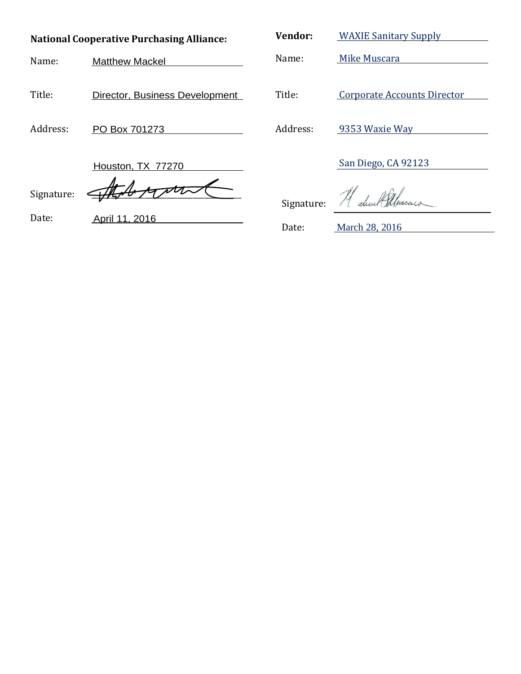| <b>National Cooperative Purchasing Alliance:</b> |                                | Vendor:    | <b>WAXIE Sanitary Supply</b> |
|--------------------------------------------------|--------------------------------|------------|------------------------------|
| Name:                                            | <b>Matthew Mackel</b>          | Name:      | Mike Muscara                 |
|                                                  |                                |            |                              |
| Title:                                           | Director, Business Development | Title:     | Corporate Accounts Director  |
| Address:                                         | PO Box 701273                  | Address:   | 9353 Waxie Way               |
|                                                  | Houston, TX 77270              |            | San Diego, CA 92123          |
| Signature:                                       |                                | Signature: |                              |
| Date:                                            | April 11, 2016                 | Date:      | March 28, 2016               |
|                                                  |                                |            |                              |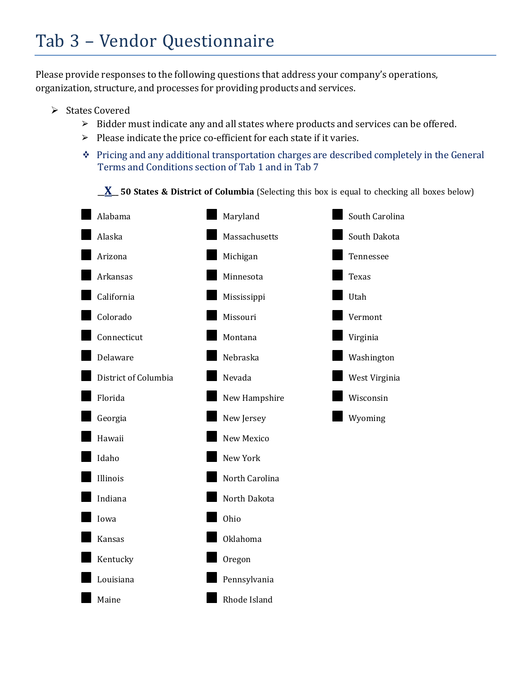## Tab 3 – Vendor Questionnaire

Please provide responses to the following questions that address your company's operations, organization, structure, and processes for providing products and services.

- $\triangleright$  States Covered
	- ➢ Bidder must indicate any and all states where products and services can be offered.
	- $\triangleright$  Please indicate the price co-efficient for each state if it varies.
	- $\div$  Pricing and any additional transportation charges are described completely in the General Terms and Conditions section of Tab 1 and in Tab 7

**\_\_X\_\_ 50 States & District of Columbia** (Selecting this box is equal to checking all boxes below)

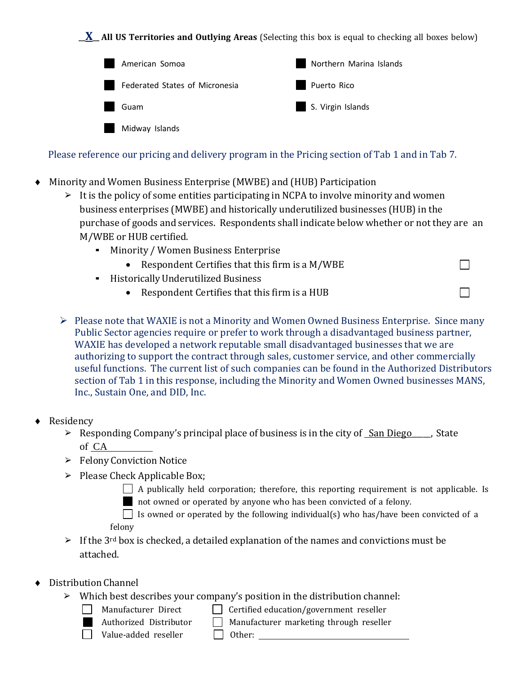**\_\_X\_\_ All US Territories and Outlying Areas** (Selecting this box is equal to checking all boxes below)

| American Somoa                                  | Northern Marina Islands |
|-------------------------------------------------|-------------------------|
| $\mathcal{A}$<br>Federated States of Micronesia | Puerto Rico             |
| ×<br>Guam                                       | S. Virgin Islands       |
| $\sim$<br>Midway Islands                        |                         |

Please reference our pricing and delivery program in the Pricing section of Tab 1 and in Tab 7.

- Minority and Women Business Enterprise (MWBE) and (HUB) Participation
	- $\triangleright$  It is the policy of some entities participating in NCPA to involve minority and women business enterprises (MWBE) and historically underutilized businesses (HUB) in the purchase of goods and services. Respondents shall indicate below whether or not they are an M/WBE or HUB certified.

 $\Box$ 

 $\Box$ 

- Minority / Women Business Enterprise
	- Respondent Certifies that this firm is a M/WBE
- HistoricallyUnderutilized Business
	- Respondent Certifies that this firm is a HUB
- $\triangleright$  Please note that WAXIE is not a Minority and Women Owned Business Enterprise. Since many Public Sector agencies require or prefer to work through a disadvantaged business partner, WAXIE has developed a network reputable small disadvantaged businesses that we are authorizing to support the contract through sales, customer service, and other commercially useful functions. The current list of such companies can be found in the Authorized Distributors section of Tab 1 in this response, including the Minority and Women Owned businesses MANS, Inc., Sustain One, and DID, Inc.
- ♦ Residency
	- Example 2 Responding Company's principal place of business is in the city of San Diego  $\blacksquare$ , State of CA
	- ➢ Felony Conviction Notice
	- $\triangleright$  Please Check Applicable Box;
		- $\Box$  A publically held corporation; therefore, this reporting requirement is not applicable. Is not owned or operated by anyone who has been convicted of a felony.
		- $\Box$  Is owned or operated by the following individual(s) who has/have been convicted of a felony
	- $\geq$  If the 3<sup>rd</sup> box is checked, a detailed explanation of the names and convictions must be attached.
- Distribution Channel
	- $\triangleright$  Which best describes your company's position in the distribution channel:
		-

 $\Box$  Manufacturer Direct  $\Box$  Certified education/government reseller

Authorized Distributor  $\Box$  Manufacturer marketing through reseller  $\Box$  Value-added reseller  $\Box$  Other:

 $\Box$  Value-added reseller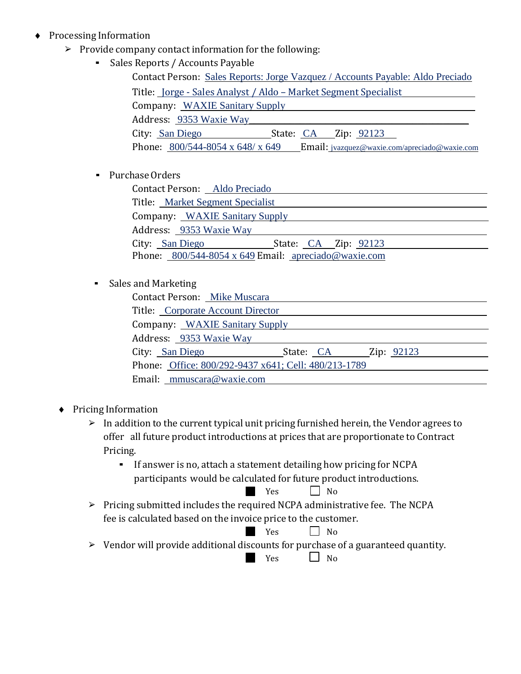- ♦ Processing Information
	- ➢ Provide company contact information for the following:
		- Sales Reports / Accounts Payable

| Contact Person: Sales Reports: Jorge Vazquez / Accounts Payable: Aldo Preciado                   |
|--------------------------------------------------------------------------------------------------|
| Title: <u>Jorge - Sales Analyst / Aldo – Market Segment Specialist</u>                           |
| Company: WAXIE Sanitary Supply                                                                   |
| Address: 9353 Waxie Way                                                                          |
| City: San Diego<br>State: CA Zip: 92123                                                          |
| Email: jvazquez@waxie.com/apreciado@waxie.com<br>Phone: $800/544 - 8054 \times 648 / \times 649$ |

▪ PurchaseOrders

| Contact Person: Aldo Preciado                               |  |
|-------------------------------------------------------------|--|
| Title: Market Segment Specialist                            |  |
| Company: WAXIE Sanitary Supply                              |  |
| Address: 9353 Waxie Way                                     |  |
| City: San Diego<br>State: CA Zip: 92123                     |  |
| Phone: $800/544-8054 \times 649$ Email: apreciado@waxie.com |  |

#### ▪ Sales and Marketing

| <b>Contact Person:</b> Mike Muscara                  |                      |  |
|------------------------------------------------------|----------------------|--|
| Title: Corporate Account Director                    |                      |  |
| Company: WAXIE Sanitary Supply                       |                      |  |
| Address: 9353 Waxie Way                              |                      |  |
| City: San Diego                                      | State: CA Zip: 92123 |  |
| Phone: Office: 800/292-9437 x641; Cell: 480/213-1789 |                      |  |
| Email: mmuscara@waxie.com                            |                      |  |

- ♦ Pricing Information
	- $\triangleright$  In addition to the current typical unit pricing furnished herein, the Vendor agrees to offer all future product introductions at prices that are proportionate to Contract Pricing.
		- If answer is no, attach <sup>a</sup> statement detailing how pricing for NCPA participants would be calculated for future product introductions.<br>  $\begin{array}{c}\n\blacksquare\n\end{array}$  Yes

 $\Box$  No

➢ Pricing submitted includes the required NCPA administrative fee. The NCPA fee is calculated based on the invoice price to the customer.

$$
Yes \qquad \qquad \Box \quad No
$$

 $\triangleright$  Vendor will provide additional discounts for purchase of a guaranteed quantity.<br>  $\blacksquare$  Yes  $\Box$  No

 $\Box$  No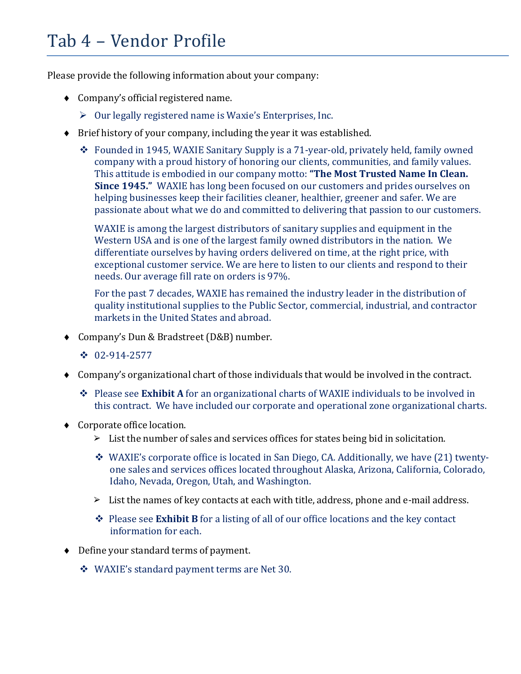### Tab 4 – Vendor Profile

Please provide the following information about your company:

- ♦ Company's official registered name.
	- $\triangleright$  Our legally registered name is Waxie's Enterprises, Inc.
- ♦ Brief history of your company, including the year it was established.
	- Founded in 1945, WAXIE Sanitary Supply is a 71-year-old, privately held, family owned company with a proud history of honoring our clients, communities, and family values. This attitude is embodied in our company motto: **"The Most Trusted Name In Clean. Since 1945."** WAXIE has long been focused on our customers and prides ourselves on helping businesses keep their facilities cleaner, healthier, greener and safer. We are passionate about what we do and committed to delivering that passion to our customers.

WAXIE is among the largest distributors of sanitary supplies and equipment in the Western USA and is one of the largest family owned distributors in the nation. We differentiate ourselves by having orders delivered on time, at the right price, with exceptional customer service. We are here to listen to our clients and respond to their needs. Our average fill rate on orders is 97%.

For the past 7 decades, WAXIE has remained the industry leader in the distribution of quality institutional supplies to the Public Sector, commercial, industrial, and contractor markets in the United States and abroad.

- ♦ Company's Dun & Bradstreet (D&B) number.
	- $\div$  02-914-2577
- ♦ Company's organizational chart of those individuals that would be involved in the contract.
	- Please see **Exhibit A** for an organizational charts of WAXIE individuals to be involved in this contract. We have included our corporate and operational zone organizational charts.
- ♦ Corporate office location.
	- $\geq$  List the number of sales and services offices for states being bid in solicitation.
	- $\bullet$  WAXIE's corporate office is located in San Diego, CA. Additionally, we have (21) twentyone sales and services offices located throughout Alaska, Arizona, California, Colorado, Idaho, Nevada, Oregon, Utah, and Washington.
	- $\triangleright$  List the names of key contacts at each with title, address, phone and e-mail address.
	- Please see **Exhibit B** for a listing of all of our office locations and the key contact information for each.
- ♦ Define your standard terms of payment.
	- WAXIE's standard payment terms are Net 30.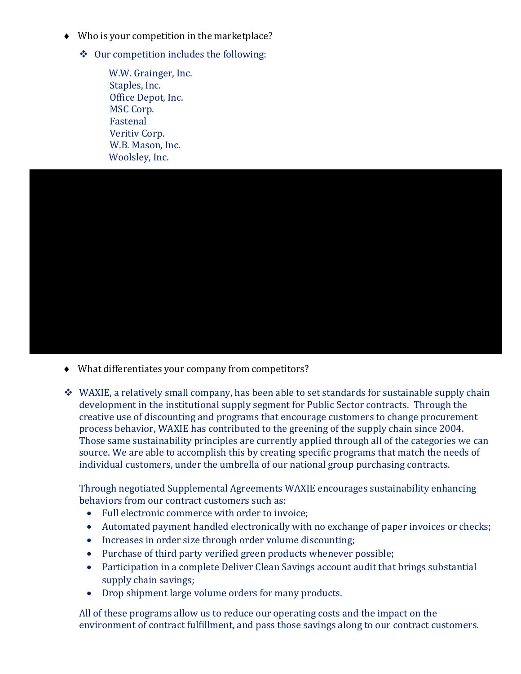- ♦ Who is your competition in the marketplace?
	- $\triangleleft$  Our competition includes the following:

W.W. Grainger, Inc. Staples, Inc. Office Depot, Inc. MSC Corp. Fastenal Veritiv Corp. W.B. Mason, Inc. Woolsley, Inc.



- ♦ What differentiates your company from competitors?
- $\div$  WAXIE, a relatively small company, has been able to set standards for sustainable supply chain development in the institutional supply segment for Public Sector contracts. Through the creative use of discounting and programs that encourage customers to change procurement process behavior, WAXIE has contributed to the greening of the supply chain since 2004. Those same sustainability principles are currently applied through all of the categories we can source. We are able to accomplish this by creating specific programs that match the needs of individual customers, under the umbrella of our national group purchasing contracts.

Through negotiated Supplemental Agreements WAXIE encourages sustainability enhancing behaviors from our contract customers such as:

- Full electronic commerce with order to invoice;
- Automated payment handled electronically with no exchange of paper invoices or checks;
- Increases in order size through order volume discounting;
- Purchase of third party verified green products whenever possible;
- Participation in a complete Deliver Clean Savings account audit that brings substantial supply chain savings;
- Drop shipment large volume orders for many products.

All of these programs allow us to reduce our operating costs and the impact on the environment of contract fulfillment, and pass those savings along to our contract customers.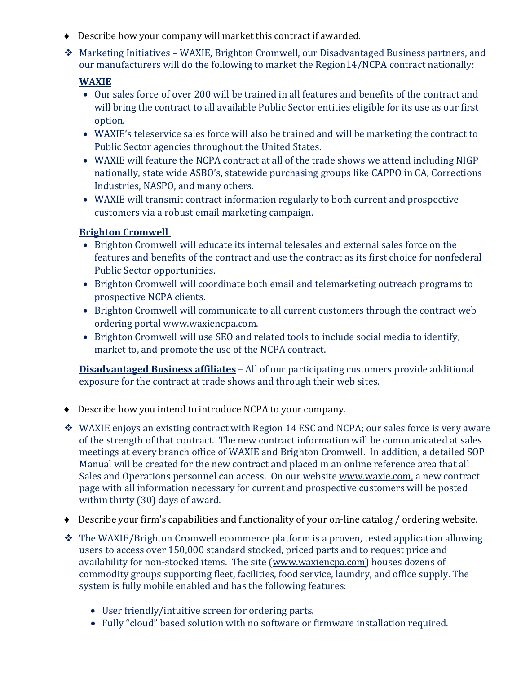- ♦ Describe how your company will market this contract if awarded.
- Marketing Initiatives WAXIE, Brighton Cromwell, our Disadvantaged Business partners, and our manufacturers will do the following to market the Region14/NCPA contract nationally:

### **WAXIE**

- Our sales force of over 200 will be trained in all features and benefits of the contract and will bring the contract to all available Public Sector entities eligible for its use as our first option.
- WAXIE's teleservice sales force will also be trained and will be marketing the contract to Public Sector agencies throughout the United States.
- WAXIE will feature the NCPA contract at all of the trade shows we attend including NIGP nationally, state wide ASBO's, statewide purchasing groups like CAPPO in CA, Corrections Industries, NASPO, and many others.
- WAXIE will transmit contract information regularly to both current and prospective customers via a robust email marketing campaign.

### **Brighton Cromwell**

- Brighton Cromwell will educate its internal telesales and external sales force on the features and benefits of the contract and use the contract as its first choice for nonfederal Public Sector opportunities.
- Brighton Cromwell will coordinate both email and telemarketing outreach programs to prospective NCPA clients.
- Brighton Cromwell will communicate to all current customers through the contract web ordering portal www.waxiencpa.com.
- Brighton Cromwell will use SEO and related tools to include social media to identify, market to, and promote the use of the NCPA contract.

**Disadvantaged Business affiliates** – All of our participating customers provide additional exposure for the contract at trade shows and through their web sites.

- ♦ Describe how you intend to introduce NCPA to your company.
- WAXIE enjoys an existing contract with Region 14 ESC and NCPA; our sales force is very aware of the strength of that contract. The new contract information will be communicated at sales meetings at every branch office of WAXIE and Brighton Cromwell. In addition, a detailed SOP Manual will be created for the new contract and placed in an online reference area that all Sales and Operations personnel can access. On our website www.waxie.com, a new contract page with all information necessary for current and prospective customers will be posted within thirty (30) days of award.
- ♦ Describe your firm's capabilities and functionality of your on-line catalog / ordering website.
- \* The WAXIE/Brighton Cromwell ecommerce platform is a proven, tested application allowing users to access over 150,000 standard stocked, priced parts and to request price and availability for non-stocked items. The site (www.waxiencpa.com) houses dozens of commodity groups supporting fleet, facilities, food service, laundry, and office supply. The system is fully mobile enabled and has the following features:
	- User friendly/intuitive screen for ordering parts.
	- Fully "cloud" based solution with no software or firmware installation required.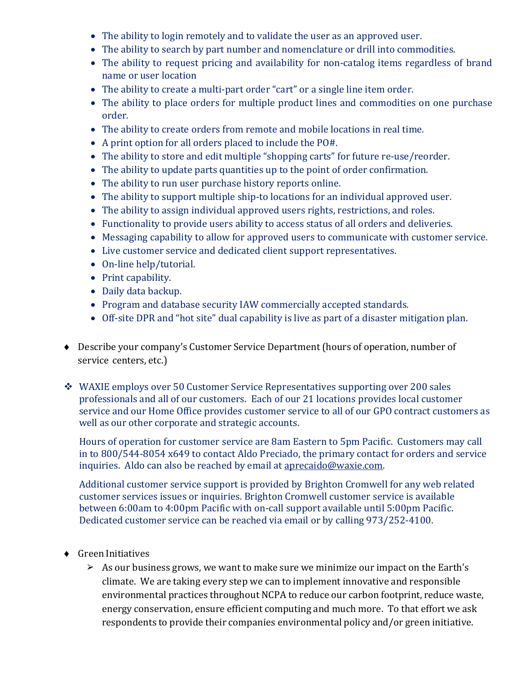- The ability to login remotely and to validate the user as an approved user.
- The ability to search by part number and nomenclature or drill into commodities.
- The ability to request pricing and availability for non-catalog items regardless of brand name or user location
- The ability to create a multi-part order "cart" or a single line item order.
- The ability to place orders for multiple product lines and commodities on one purchase order.
- The ability to create orders from remote and mobile locations in real time.
- A print option for all orders placed to include the PO#.
- The ability to store and edit multiple "shopping carts" for future re-use/reorder.
- The ability to update parts quantities up to the point of order confirmation.
- The ability to run user purchase history reports online.
- The ability to support multiple ship-to locations for an individual approved user.
- The ability to assign individual approved users rights, restrictions, and roles.
- Functionality to provide users ability to access status of all orders and deliveries.
- Messaging capability to allow for approved users to communicate with customer service.
- Live customer service and dedicated client support representatives.
- On-line help/tutorial.
- Print capability.
- Daily data backup.
- Program and database security IAW commercially accepted standards.
- Off-site DPR and "hot site" dual capability is live as part of a disaster mitigation plan.
- ♦ Describe your company's Customer Service Department (hours of operation, number of service centers, etc.)
- WAXIE employs over 50 Customer Service Representatives supporting over 200 sales professionals and all of our customers. Each of our 21 locations provides local customer service and our Home Office provides customer service to all of our GPO contract customers as well as our other corporate and strategic accounts.

Hours of operation for customer service are 8am Eastern to 5pm Pacific. Customers may call in to 800/544-8054 x649 to contact Aldo Preciado, the primary contact for orders and service inquiries. Aldo can also be reached by email at aprecaido@waxie.com.

Additional customer service support is provided by Brighton Cromwell for any web related customer services issues or inquiries. Brighton Cromwell customer service is available between 6:00am to 4:00pm Pacific with on-call support available until 5:00pm Pacific. Dedicated customer service can be reached via email or by calling 973/252-4100.

- ♦ Green Initiatives
	- $\triangleright$  As our business grows, we want to make sure we minimize our impact on the Earth's climate. We are taking every step we can to implement innovative and responsible environmental practices throughout NCPA to reduce our carbon footprint, reduce waste, energy conservation, ensure efficient computing and much more. To that effort we ask respondents to provide their companies environmental policy and/or green initiative.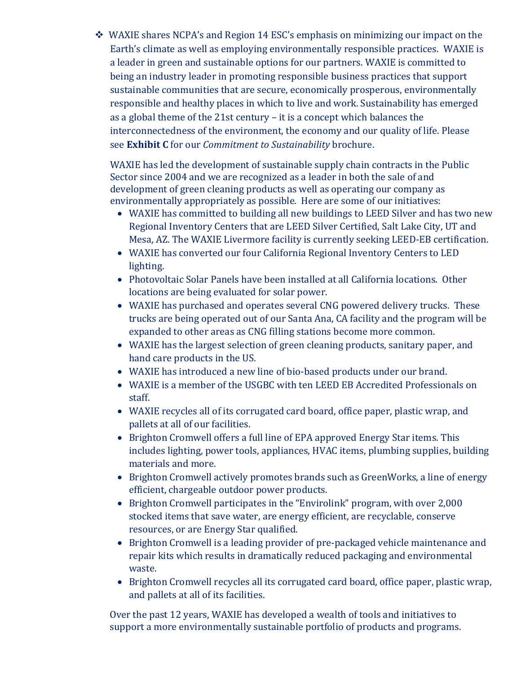WAXIE shares NCPA's and Region 14 ESC's emphasis on minimizing our impact on the Earth's climate as well as employing environmentally responsible practices. WAXIE is a leader in green and sustainable options for our partners. WAXIE is committed to being an industry leader in promoting responsible business practices that support sustainable communities that are secure, economically prosperous, environmentally responsible and healthy places in which to live and work. Sustainability has emerged as a global theme of the 21st century – it is a concept which balances the interconnectedness of the environment, the economy and our quality of life. Please see **Exhibit C** for our *Commitment to Sustainability* brochure.

WAXIE has led the development of sustainable supply chain contracts in the Public Sector since 2004 and we are recognized as a leader in both the sale of and development of green cleaning products as well as operating our company as environmentally appropriately as possible. Here are some of our initiatives:

- WAXIE has committed to building all new buildings to LEED Silver and has two new Regional Inventory Centers that are LEED Silver Certified, Salt Lake City, UT and Mesa, AZ. The WAXIE Livermore facility is currently seeking LEED-EB certification.
- WAXIE has converted our four California Regional Inventory Centers to LED lighting.
- Photovoltaic Solar Panels have been installed at all California locations. Other locations are being evaluated for solar power.
- WAXIE has purchased and operates several CNG powered delivery trucks. These trucks are being operated out of our Santa Ana, CA facility and the program will be expanded to other areas as CNG filling stations become more common.
- WAXIE has the largest selection of green cleaning products, sanitary paper, and hand care products in the US.
- WAXIE has introduced a new line of bio-based products under our brand.
- WAXIE is a member of the USGBC with ten LEED EB Accredited Professionals on staff.
- WAXIE recycles all of its corrugated card board, office paper, plastic wrap, and pallets at all of our facilities.
- Brighton Cromwell offers a full line of EPA approved Energy Star items. This includes lighting, power tools, appliances, HVAC items, plumbing supplies, building materials and more.
- Brighton Cromwell actively promotes brands such as GreenWorks, a line of energy efficient, chargeable outdoor power products.
- Brighton Cromwell participates in the "Envirolink" program, with over 2,000 stocked items that save water, are energy efficient, are recyclable, conserve resources, or are Energy Star qualified.
- Brighton Cromwell is a leading provider of pre-packaged vehicle maintenance and repair kits which results in dramatically reduced packaging and environmental waste.
- Brighton Cromwell recycles all its corrugated card board, office paper, plastic wrap, and pallets at all of its facilities.

Over the past 12 years, WAXIE has developed a wealth of tools and initiatives to support a more environmentally sustainable portfolio of products and programs.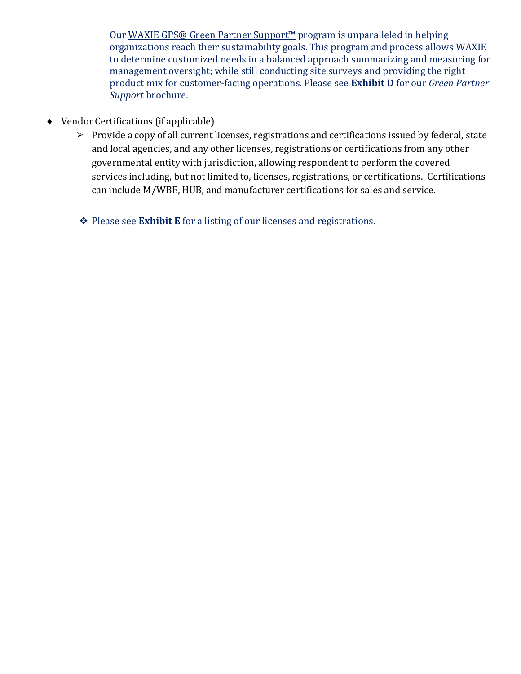Our WAXIE GPS® Green Partner Support<sup>™</sup> program is unparalleled in helping organizations reach their sustainability goals. This program and process allows WAXIE to determine customized needs in a balanced approach summarizing and measuring for management oversight; while still conducting site surveys and providing the right product mix for customer-facing operations. Please see **Exhibit D** for our *Green Partner Support* brochure.

- ♦ Vendor Certifications (if applicable)
	- ➢ Provide a copy of all current licenses, registrations and certifications issued by federal, state and local agencies, and any other licenses, registrations or certifications from any other governmental entity with jurisdiction, allowing respondent to perform the covered services including, but not limited to, licenses, registrations, or certifications. Certifications can include M/WBE, HUB, and manufacturer certifications for sales and service.
	- **◆ Please see Exhibit E** for a listing of our licenses and registrations.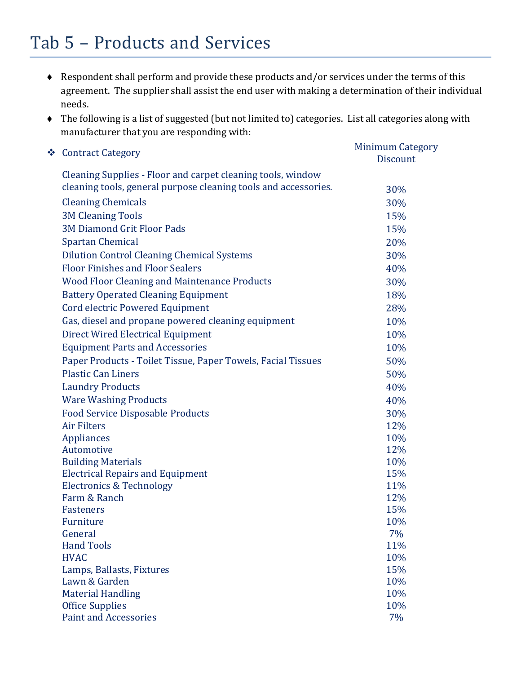### Tab 5 – Products and Services

- ♦ Respondent shall perform and provide these products and/or services under the terms of this agreement. The supplier shall assist the end user with making a determination of their individual needs.
- ♦ The following is a list of suggested (but not limited to) categories. List all categories along with manufacturer that you are responding with:

| Cleaning Supplies - Floor and carpet cleaning tools, window<br>cleaning tools, general purpose cleaning tools and accessories.<br>30%<br><b>Cleaning Chemicals</b><br>30%<br><b>3M Cleaning Tools</b><br>15%<br><b>3M Diamond Grit Floor Pads</b><br>15%<br><b>Spartan Chemical</b><br>20%<br><b>Dilution Control Cleaning Chemical Systems</b><br>30%<br><b>Floor Finishes and Floor Sealers</b><br>40%<br><b>Wood Floor Cleaning and Maintenance Products</b><br>30%<br><b>Battery Operated Cleaning Equipment</b><br>18%<br><b>Cord electric Powered Equipment</b><br>28%<br>Gas, diesel and propane powered cleaning equipment<br>10%<br><b>Direct Wired Electrical Equipment</b><br>10%<br><b>Equipment Parts and Accessories</b><br>10%<br>Paper Products - Toilet Tissue, Paper Towels, Facial Tissues<br>50%<br><b>Plastic Can Liners</b><br>50%<br><b>Laundry Products</b><br>40%<br><b>Ware Washing Products</b><br>40%<br><b>Food Service Disposable Products</b><br>30%<br><b>Air Filters</b><br>12%<br><b>Appliances</b><br>10%<br>12%<br>Automotive<br><b>Building Materials</b><br>10%<br><b>Electrical Repairs and Equipment</b><br>15%<br><b>Electronics &amp; Technology</b><br>11%<br>12%<br>Farm & Ranch<br><b>Fasteners</b><br>15%<br>Furniture<br>10%<br>General<br>7%<br><b>Hand Tools</b><br>11%<br>10%<br><b>HVAC</b><br>15%<br>Lamps, Ballasts, Fixtures<br>Lawn & Garden<br>10%<br><b>Material Handling</b><br>10%<br><b>Office Supplies</b><br>10%<br><b>Paint and Accessories</b><br>7% | ❖ Contract Category | <b>Minimum Category</b><br><b>Discount</b> |
|----------------------------------------------------------------------------------------------------------------------------------------------------------------------------------------------------------------------------------------------------------------------------------------------------------------------------------------------------------------------------------------------------------------------------------------------------------------------------------------------------------------------------------------------------------------------------------------------------------------------------------------------------------------------------------------------------------------------------------------------------------------------------------------------------------------------------------------------------------------------------------------------------------------------------------------------------------------------------------------------------------------------------------------------------------------------------------------------------------------------------------------------------------------------------------------------------------------------------------------------------------------------------------------------------------------------------------------------------------------------------------------------------------------------------------------------------------------------------------------------------------------------|---------------------|--------------------------------------------|
|                                                                                                                                                                                                                                                                                                                                                                                                                                                                                                                                                                                                                                                                                                                                                                                                                                                                                                                                                                                                                                                                                                                                                                                                                                                                                                                                                                                                                                                                                                                      |                     |                                            |
|                                                                                                                                                                                                                                                                                                                                                                                                                                                                                                                                                                                                                                                                                                                                                                                                                                                                                                                                                                                                                                                                                                                                                                                                                                                                                                                                                                                                                                                                                                                      |                     |                                            |
|                                                                                                                                                                                                                                                                                                                                                                                                                                                                                                                                                                                                                                                                                                                                                                                                                                                                                                                                                                                                                                                                                                                                                                                                                                                                                                                                                                                                                                                                                                                      |                     |                                            |
|                                                                                                                                                                                                                                                                                                                                                                                                                                                                                                                                                                                                                                                                                                                                                                                                                                                                                                                                                                                                                                                                                                                                                                                                                                                                                                                                                                                                                                                                                                                      |                     |                                            |
|                                                                                                                                                                                                                                                                                                                                                                                                                                                                                                                                                                                                                                                                                                                                                                                                                                                                                                                                                                                                                                                                                                                                                                                                                                                                                                                                                                                                                                                                                                                      |                     |                                            |
|                                                                                                                                                                                                                                                                                                                                                                                                                                                                                                                                                                                                                                                                                                                                                                                                                                                                                                                                                                                                                                                                                                                                                                                                                                                                                                                                                                                                                                                                                                                      |                     |                                            |
|                                                                                                                                                                                                                                                                                                                                                                                                                                                                                                                                                                                                                                                                                                                                                                                                                                                                                                                                                                                                                                                                                                                                                                                                                                                                                                                                                                                                                                                                                                                      |                     |                                            |
|                                                                                                                                                                                                                                                                                                                                                                                                                                                                                                                                                                                                                                                                                                                                                                                                                                                                                                                                                                                                                                                                                                                                                                                                                                                                                                                                                                                                                                                                                                                      |                     |                                            |
|                                                                                                                                                                                                                                                                                                                                                                                                                                                                                                                                                                                                                                                                                                                                                                                                                                                                                                                                                                                                                                                                                                                                                                                                                                                                                                                                                                                                                                                                                                                      |                     |                                            |
|                                                                                                                                                                                                                                                                                                                                                                                                                                                                                                                                                                                                                                                                                                                                                                                                                                                                                                                                                                                                                                                                                                                                                                                                                                                                                                                                                                                                                                                                                                                      |                     |                                            |
|                                                                                                                                                                                                                                                                                                                                                                                                                                                                                                                                                                                                                                                                                                                                                                                                                                                                                                                                                                                                                                                                                                                                                                                                                                                                                                                                                                                                                                                                                                                      |                     |                                            |
|                                                                                                                                                                                                                                                                                                                                                                                                                                                                                                                                                                                                                                                                                                                                                                                                                                                                                                                                                                                                                                                                                                                                                                                                                                                                                                                                                                                                                                                                                                                      |                     |                                            |
|                                                                                                                                                                                                                                                                                                                                                                                                                                                                                                                                                                                                                                                                                                                                                                                                                                                                                                                                                                                                                                                                                                                                                                                                                                                                                                                                                                                                                                                                                                                      |                     |                                            |
|                                                                                                                                                                                                                                                                                                                                                                                                                                                                                                                                                                                                                                                                                                                                                                                                                                                                                                                                                                                                                                                                                                                                                                                                                                                                                                                                                                                                                                                                                                                      |                     |                                            |
|                                                                                                                                                                                                                                                                                                                                                                                                                                                                                                                                                                                                                                                                                                                                                                                                                                                                                                                                                                                                                                                                                                                                                                                                                                                                                                                                                                                                                                                                                                                      |                     |                                            |
|                                                                                                                                                                                                                                                                                                                                                                                                                                                                                                                                                                                                                                                                                                                                                                                                                                                                                                                                                                                                                                                                                                                                                                                                                                                                                                                                                                                                                                                                                                                      |                     |                                            |
|                                                                                                                                                                                                                                                                                                                                                                                                                                                                                                                                                                                                                                                                                                                                                                                                                                                                                                                                                                                                                                                                                                                                                                                                                                                                                                                                                                                                                                                                                                                      |                     |                                            |
|                                                                                                                                                                                                                                                                                                                                                                                                                                                                                                                                                                                                                                                                                                                                                                                                                                                                                                                                                                                                                                                                                                                                                                                                                                                                                                                                                                                                                                                                                                                      |                     |                                            |
|                                                                                                                                                                                                                                                                                                                                                                                                                                                                                                                                                                                                                                                                                                                                                                                                                                                                                                                                                                                                                                                                                                                                                                                                                                                                                                                                                                                                                                                                                                                      |                     |                                            |
|                                                                                                                                                                                                                                                                                                                                                                                                                                                                                                                                                                                                                                                                                                                                                                                                                                                                                                                                                                                                                                                                                                                                                                                                                                                                                                                                                                                                                                                                                                                      |                     |                                            |
|                                                                                                                                                                                                                                                                                                                                                                                                                                                                                                                                                                                                                                                                                                                                                                                                                                                                                                                                                                                                                                                                                                                                                                                                                                                                                                                                                                                                                                                                                                                      |                     |                                            |
|                                                                                                                                                                                                                                                                                                                                                                                                                                                                                                                                                                                                                                                                                                                                                                                                                                                                                                                                                                                                                                                                                                                                                                                                                                                                                                                                                                                                                                                                                                                      |                     |                                            |
|                                                                                                                                                                                                                                                                                                                                                                                                                                                                                                                                                                                                                                                                                                                                                                                                                                                                                                                                                                                                                                                                                                                                                                                                                                                                                                                                                                                                                                                                                                                      |                     |                                            |
|                                                                                                                                                                                                                                                                                                                                                                                                                                                                                                                                                                                                                                                                                                                                                                                                                                                                                                                                                                                                                                                                                                                                                                                                                                                                                                                                                                                                                                                                                                                      |                     |                                            |
|                                                                                                                                                                                                                                                                                                                                                                                                                                                                                                                                                                                                                                                                                                                                                                                                                                                                                                                                                                                                                                                                                                                                                                                                                                                                                                                                                                                                                                                                                                                      |                     |                                            |
|                                                                                                                                                                                                                                                                                                                                                                                                                                                                                                                                                                                                                                                                                                                                                                                                                                                                                                                                                                                                                                                                                                                                                                                                                                                                                                                                                                                                                                                                                                                      |                     |                                            |
|                                                                                                                                                                                                                                                                                                                                                                                                                                                                                                                                                                                                                                                                                                                                                                                                                                                                                                                                                                                                                                                                                                                                                                                                                                                                                                                                                                                                                                                                                                                      |                     |                                            |
|                                                                                                                                                                                                                                                                                                                                                                                                                                                                                                                                                                                                                                                                                                                                                                                                                                                                                                                                                                                                                                                                                                                                                                                                                                                                                                                                                                                                                                                                                                                      |                     |                                            |
|                                                                                                                                                                                                                                                                                                                                                                                                                                                                                                                                                                                                                                                                                                                                                                                                                                                                                                                                                                                                                                                                                                                                                                                                                                                                                                                                                                                                                                                                                                                      |                     |                                            |
|                                                                                                                                                                                                                                                                                                                                                                                                                                                                                                                                                                                                                                                                                                                                                                                                                                                                                                                                                                                                                                                                                                                                                                                                                                                                                                                                                                                                                                                                                                                      |                     |                                            |
|                                                                                                                                                                                                                                                                                                                                                                                                                                                                                                                                                                                                                                                                                                                                                                                                                                                                                                                                                                                                                                                                                                                                                                                                                                                                                                                                                                                                                                                                                                                      |                     |                                            |
|                                                                                                                                                                                                                                                                                                                                                                                                                                                                                                                                                                                                                                                                                                                                                                                                                                                                                                                                                                                                                                                                                                                                                                                                                                                                                                                                                                                                                                                                                                                      |                     |                                            |
|                                                                                                                                                                                                                                                                                                                                                                                                                                                                                                                                                                                                                                                                                                                                                                                                                                                                                                                                                                                                                                                                                                                                                                                                                                                                                                                                                                                                                                                                                                                      |                     |                                            |
|                                                                                                                                                                                                                                                                                                                                                                                                                                                                                                                                                                                                                                                                                                                                                                                                                                                                                                                                                                                                                                                                                                                                                                                                                                                                                                                                                                                                                                                                                                                      |                     |                                            |
|                                                                                                                                                                                                                                                                                                                                                                                                                                                                                                                                                                                                                                                                                                                                                                                                                                                                                                                                                                                                                                                                                                                                                                                                                                                                                                                                                                                                                                                                                                                      |                     |                                            |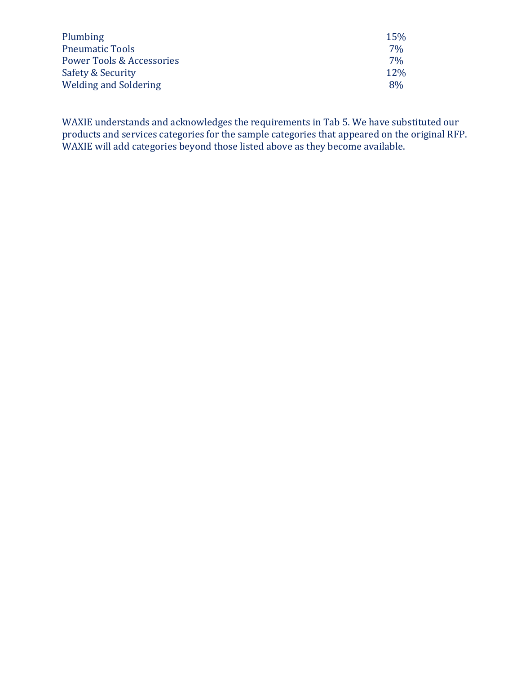| Plumbing                     | <b>15%</b> |
|------------------------------|------------|
| <b>Pneumatic Tools</b>       | $7\%$      |
| Power Tools & Accessories    | $7\%$      |
| Safety & Security            | $12\%$     |
| <b>Welding and Soldering</b> | 8%         |

WAXIE understands and acknowledges the requirements in Tab 5. We have substituted our products and services categories for the sample categories that appeared on the original RFP. WAXIE will add categories beyond those listed above as they become available.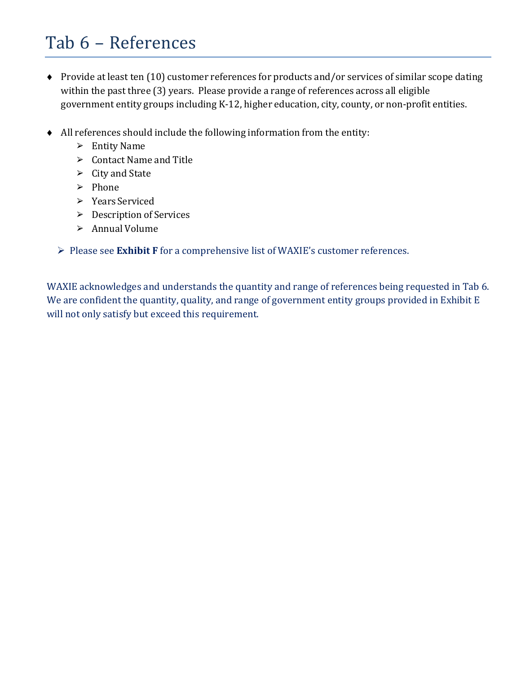### Tab 6 – References

- ♦ Provide at least ten (10) customer references for products and/or services of similar scope dating within the past three (3) years. Please provide a range of references across all eligible government entity groups including K-12, higher education, city, county, or non-profit entities.
- ♦ All references should include the following information from the entity:
	- ➢ Entity Name
	- ➢ Contact Name and Title
	- ➢ City and State
	- ➢ Phone
	- ➢ Years Serviced
	- ➢ Description of Services
	- ➢ Annual Volume
	- Please see **Exhibit F** for a comprehensive list of WAXIE's customer references.

WAXIE acknowledges and understands the quantity and range of references being requested in Tab 6. We are confident the quantity, quality, and range of government entity groups provided in Exhibit E will not only satisfy but exceed this requirement.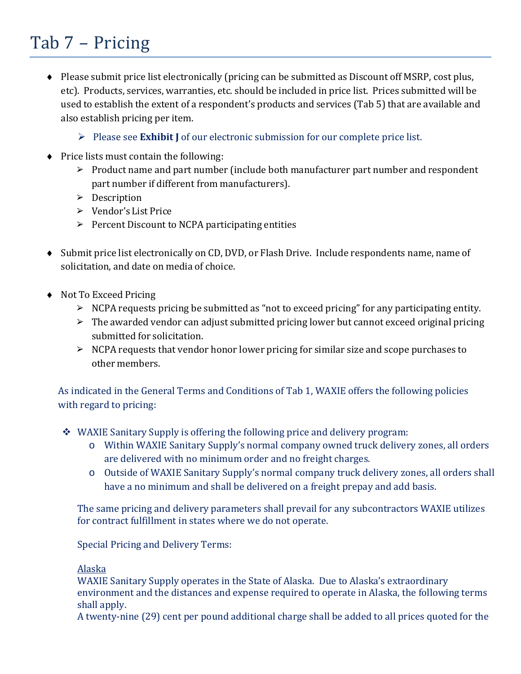# Tab 7 – Pricing

- ♦ Please submit price list electronically (pricing can be submitted as Discount off MSRP, cost plus, etc). Products, services, warranties, etc. should be included in price list. Prices submitted will be used to establish the extent of a respondent's products and services (Tab 5) that are available and also establish pricing per item.
	- Please see **Exhibit J** of our electronic submission for our complete price list.
- ♦ Price lists must contain the following:
	- ➢ Product name and part number (include both manufacturer part number and respondent part number if different from manufacturers).
	- ➢ Description
	- ➢ Vendor's List Price
	- $\triangleright$  Percent Discount to NCPA participating entities
- ♦ Submit price list electronically on CD, DVD, or Flash Drive. Include respondents name, name of solicitation, and date on media of choice.
- ♦ Not To Exceed Pricing
	- $\triangleright$  NCPA requests pricing be submitted as "not to exceed pricing" for any participating entity.
	- $\triangleright$  The awarded vendor can adjust submitted pricing lower but cannot exceed original pricing submitted for solicitation.
	- $\triangleright$  NCPA requests that vendor honor lower pricing for similar size and scope purchases to other members.

As indicated in the General Terms and Conditions of Tab 1, WAXIE offers the following policies with regard to pricing:

- WAXIE Sanitary Supply is offering the following price and delivery program:
	- o Within WAXIE Sanitary Supply's normal company owned truck delivery zones, all orders are delivered with no minimum order and no freight charges.
	- o Outside of WAXIE Sanitary Supply's normal company truck delivery zones, all orders shall have a no minimum and shall be delivered on a freight prepay and add basis.

The same pricing and delivery parameters shall prevail for any subcontractors WAXIE utilizes for contract fulfillment in states where we do not operate.

Special Pricing and Delivery Terms:

#### Alaska

WAXIE Sanitary Supply operates in the State of Alaska. Due to Alaska's extraordinary environment and the distances and expense required to operate in Alaska, the following terms shall apply.

A twenty-nine (29) cent per pound additional charge shall be added to all prices quoted for the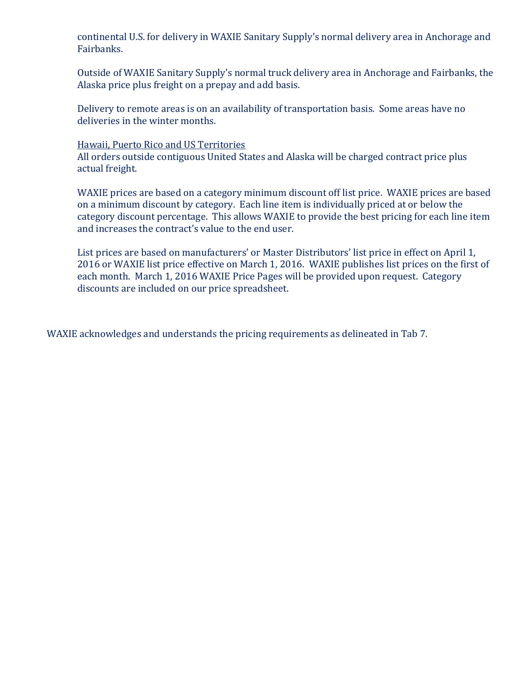continental U.S. for delivery in WAXIE Sanitary Supply's normal delivery area in Anchorage and Fairbanks.

Outside of WAXIE Sanitary Supply's normal truck delivery area in Anchorage and Fairbanks, the Alaska price plus freight on a prepay and add basis.

Delivery to remote areas is on an availability of transportation basis. Some areas have no deliveries in the winter months.

#### Hawaii, Puerto Rico and US Territories

All orders outside contiguous United States and Alaska will be charged contract price plus actual freight.

WAXIE prices are based on a category minimum discount off list price. WAXIE prices are based on a minimum discount by category. Each line item is individually priced at or below the category discount percentage. This allows WAXIE to provide the best pricing for each line item and increases the contract's value to the end user.

List prices are based on manufacturers' or Master Distributors' list price in effect on April 1, 2016 or WAXIE list price effective on March 1, 2016. WAXIE publishes list prices on the first of each month. March 1, 2016 WAXIE Price Pages will be provided upon request. Category discounts are included on our price spreadsheet.

WAXIE acknowledges and understands the pricing requirements as delineated in Tab 7.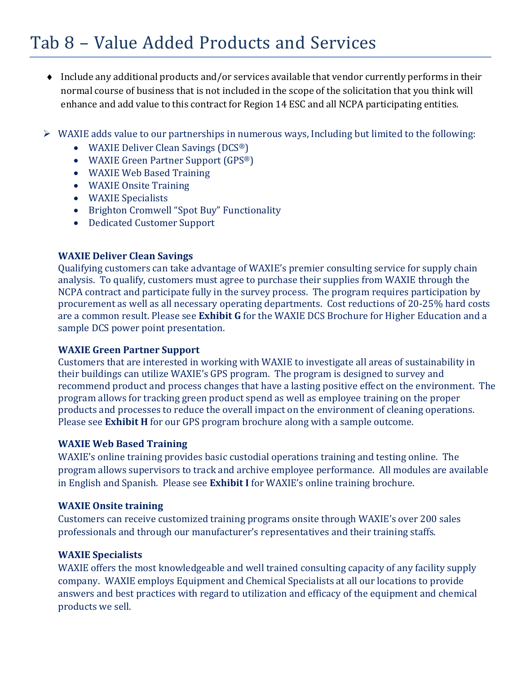### Tab 8 – Value Added Products and Services

- ♦ Include any additional products and/or services available that vendor currently performs in their normal course of business that is not included in the scope of the solicitation that you think will enhance and add value to this contract for Region 14 ESC and all NCPA participating entities.
- WAXIE adds value to our partnerships in numerous ways, Including but limited to the following:
	- WAXIE Deliver Clean Savings (DCS<sup>®</sup>)
	- WAXIE Green Partner Support (GPS®)
	- WAXIE Web Based Training
	- WAXIE Onsite Training
	- WAXIE Specialists
	- Brighton Cromwell "Spot Buy" Functionality
	- Dedicated Customer Support

#### **WAXIE Deliver Clean Savings**

Qualifying customers can take advantage of WAXIE's premier consulting service for supply chain analysis. To qualify, customers must agree to purchase their supplies from WAXIE through the NCPA contract and participate fully in the survey process. The program requires participation by procurement as well as all necessary operating departments. Cost reductions of 20-25% hard costs are a common result. Please see **Exhibit G** for the WAXIE DCS Brochure for Higher Education and a sample DCS power point presentation.

#### **WAXIE Green Partner Support**

Customers that are interested in working with WAXIE to investigate all areas of sustainability in their buildings can utilize WAXIE's GPS program. The program is designed to survey and recommend product and process changes that have a lasting positive effect on the environment. The program allows for tracking green product spend as well as employee training on the proper products and processes to reduce the overall impact on the environment of cleaning operations. Please see **Exhibit H** for our GPS program brochure along with a sample outcome.

#### **WAXIE Web Based Training**

WAXIE's online training provides basic custodial operations training and testing online. The program allows supervisors to track and archive employee performance. All modules are available in English and Spanish. Please see **Exhibit I** for WAXIE's online training brochure.

#### **WAXIE Onsite training**

Customers can receive customized training programs onsite through WAXIE's over 200 sales professionals and through our manufacturer's representatives and their training staffs.

#### **WAXIE Specialists**

WAXIE offers the most knowledgeable and well trained consulting capacity of any facility supply company. WAXIE employs Equipment and Chemical Specialists at all our locations to provide answers and best practices with regard to utilization and efficacy of the equipment and chemical products we sell.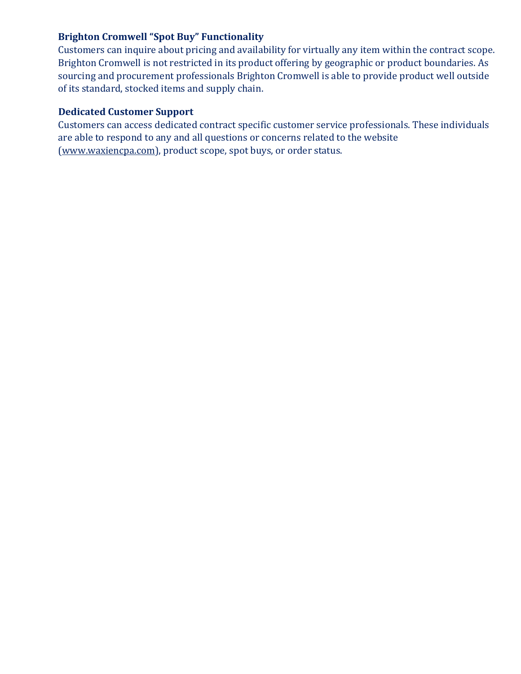### **Brighton Cromwell "Spot Buy" Functionality**

Customers can inquire about pricing and availability for virtually any item within the contract scope. Brighton Cromwell is not restricted in its product offering by geographic or product boundaries. As sourcing and procurement professionals Brighton Cromwell is able to provide product well outside of its standard, stocked items and supply chain.

#### **Dedicated Customer Support**

Customers can access dedicated contract specific customer service professionals. These individuals are able to respond to any and all questions or concerns related to the website (www.waxiencpa.com), product scope, spot buys, or order status.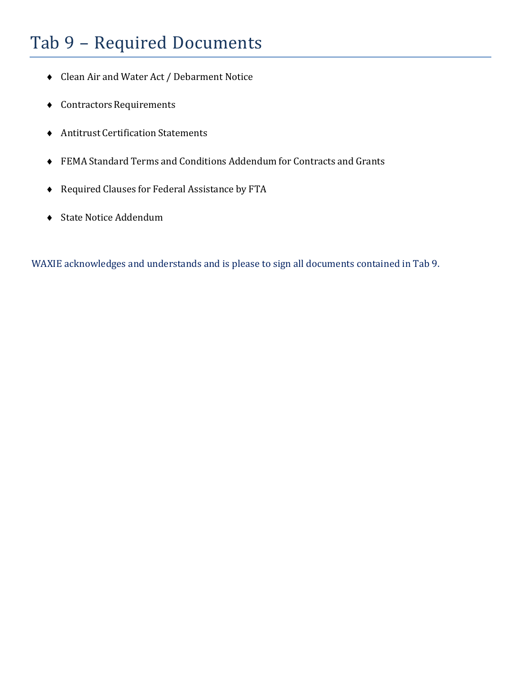# Tab 9 – Required Documents

- ♦ Clean Air and Water Act / Debarment Notice
- $\bullet$  Contractors Requirements
- ♦ Antitrust Certification Statements
- ♦ FEMA Standard Terms and Conditions Addendum for Contracts and Grants
- ♦ Required Clauses for Federal Assistance by FTA
- ♦ State Notice Addendum

WAXIE acknowledges and understands and is please to sign all documents contained in Tab 9.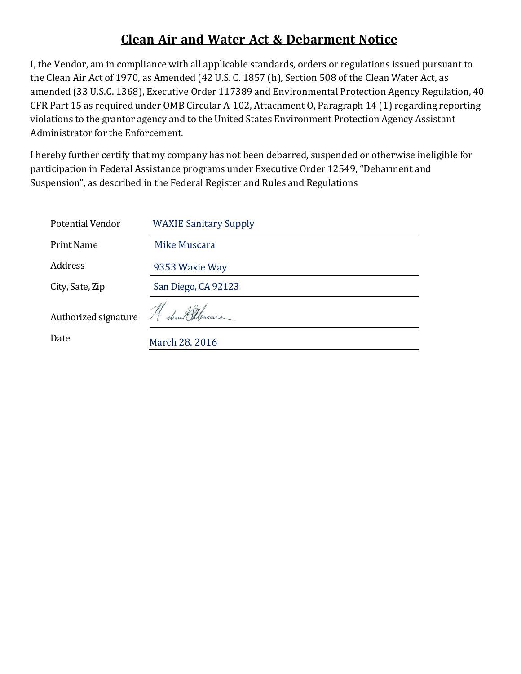### **Clean Air and Water Act & Debarment Notice**

I, the Vendor, am in compliance with all applicable standards, orders or regulations issued pursuant to the Clean Air Act of 1970, as Amended (42 U.S. C. 1857 (h), Section 508 of the Clean Water Act, as amended (33 U.S.C. 1368), Executive Order 117389 and Environmental Protection Agency Regulation, 40 CFR Part 15 as required under OMB Circular A-102, Attachment O, Paragraph 14 (1) regarding reporting violations to the grantor agency and to the United States Environment Protection Agency Assistant Administrator for the Enforcement.

I hereby further certify that my company has not been debarred, suspended or otherwise ineligible for participation in Federal Assistance programs under Executive Order 12549, "Debarment and Suspension", as described in the Federal Register and Rules and Regulations

| Potential Vendor             | <b>WAXIE Sanitary Supply</b>      |
|------------------------------|-----------------------------------|
| <b>Print Name</b>            | Mike Muscara                      |
| <b>Address</b>               | 9353 Waxie Way                    |
| City, Sate, Zip              | San Diego, CA 92123               |
| Authorized signature<br>Date | Michael Muscaro<br>March 28. 2016 |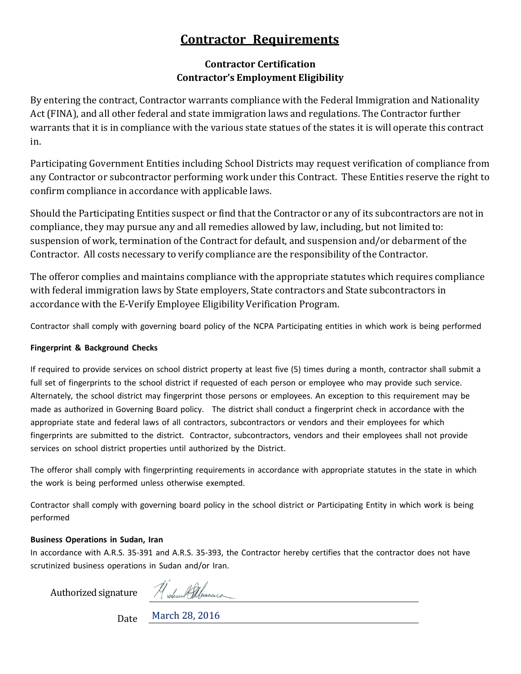### **Contractor Requirements**

#### **Contractor Certification Contractor's Employment Eligibility**

By entering the contract, Contractor warrants compliance with the Federal Immigration and Nationality Act (FINA), and all other federal and state immigration laws and regulations. The Contractor further warrants that it is in compliance with the various state statues of the states it is will operate this contract in.

Participating Government Entities including School Districts may request verification of compliance from any Contractor or subcontractor performing work under this Contract. These Entities reserve the right to confirm compliance in accordance with applicable laws.

Should the Participating Entities suspect or find that the Contractor or any of its subcontractors are not in compliance, they may pursue any and all remedies allowed by law, including, but not limited to: suspension of work, termination of the Contract for default, and suspension and/or debarment of the Contractor. All costs necessary to verify compliance are the responsibility of the Contractor.

The offeror complies and maintains compliance with the appropriate statutes which requires compliance with federal immigration laws by State employers, State contractors and State subcontractors in accordance with the E-Verify Employee Eligibility Verification Program.

Contractor shall comply with governing board policy of the NCPA Participating entities in which work is being performed

#### **Fingerprint & Background Checks**

If required to provide services on school district property at least five (5) times during a month, contractor shall submit a full set of fingerprints to the school district if requested of each person or employee who may provide such service. Alternately, the school district may fingerprint those persons or employees. An exception to this requirement may be made as authorized in Governing Board policy. The district shall conduct a fingerprint check in accordance with the appropriate state and federal laws of all contractors, subcontractors or vendors and their employees for which fingerprints are submitted to the district. Contractor, subcontractors, vendors and their employees shall not provide services on school district properties until authorized by the District.

The offeror shall comply with fingerprinting requirements in accordance with appropriate statutes in the state in which the work is being performed unless otherwise exempted.

Contractor shall comply with governing board policy in the school district or Participating Entity in which work is being performed

#### **Business Operations in Sudan, Iran**

In accordance with A.R.S. 35-391 and A.R.S. 35-393, the Contractor hereby certifies that the contractor does not have scrutinized business operations in Sudan and/or Iran.

Authorized signature

Michael Salascons

Date March 28, 2016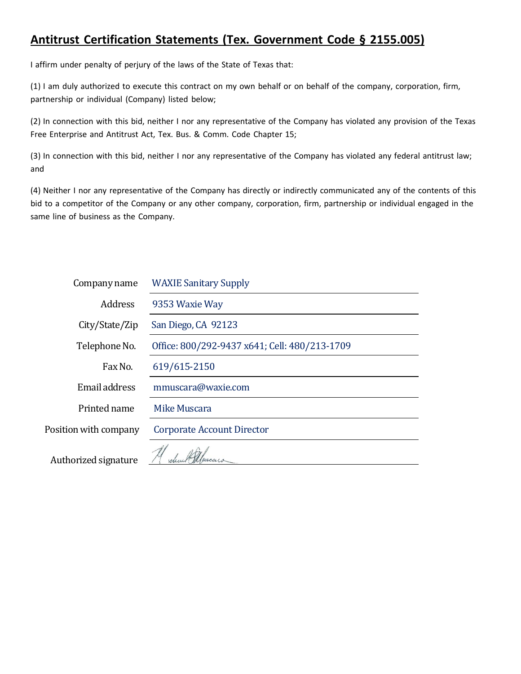### **Antitrust Certification Statements (Tex. Government Code § 2155.005)**

I affirm under penalty of perjury of the laws of the State of Texas that:

(1) I am duly authorized to execute this contract on my own behalf or on behalf of the company, corporation, firm, partnership or individual (Company) listed below;

(2) In connection with this bid, neither I nor any representative of the Company has violated any provision of the Texas Free Enterprise and Antitrust Act, Tex. Bus. & Comm. Code Chapter 15;

(3) In connection with this bid, neither I nor any representative of the Company has violated any federal antitrust law; and

(4) Neither I nor any representative of the Company has directly or indirectly communicated any of the contents of this bid to a competitor of the Company or any other company, corporation, firm, partnership or individual engaged in the same line of business as the Company.

| Company name          | <b>WAXIE Sanitary Supply</b>                  |  |
|-----------------------|-----------------------------------------------|--|
| <b>Address</b>        | 9353 Waxie Way                                |  |
| City/State/Zip        | San Diego, CA 92123                           |  |
| Telephone No.         | Office: 800/292-9437 x641; Cell: 480/213-1709 |  |
| Fax No.               | 619/615-2150                                  |  |
| Email address         | mmuscara@waxie.com                            |  |
| Printed name          | Mike Muscara                                  |  |
| Position with company | <b>Corporate Account Director</b>             |  |
| Authorized signature  |                                               |  |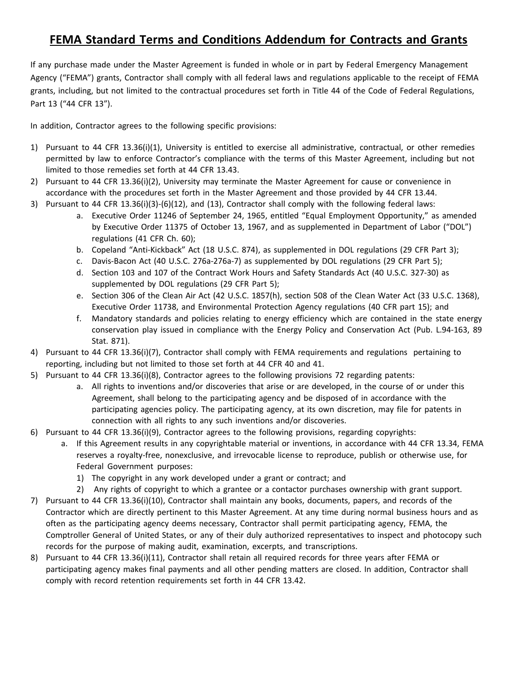### **FEMA Standard Terms and Conditions Addendum for Contracts and Grants**

If any purchase made under the Master Agreement is funded in whole or in part by Federal Emergency Management Agency ("FEMA") grants, Contractor shall comply with all federal laws and regulations applicable to the receipt of FEMA grants, including, but not limited to the contractual procedures set forth in Title 44 of the Code of Federal Regulations, Part 13 ("44 CFR 13").

In addition, Contractor agrees to the following specific provisions:

- 1) Pursuant to 44 CFR 13.36(i)(1), University is entitled to exercise all administrative, contractual, or other remedies permitted by law to enforce Contractor's compliance with the terms of this Master Agreement, including but not limited to those remedies set forth at 44 CFR 13.43.
- 2) Pursuant to 44 CFR 13.36(i)(2), University may terminate the Master Agreement for cause or convenience in accordance with the procedures set forth in the Master Agreement and those provided by 44 CFR 13.44.
- 3) Pursuant to 44 CFR 13.36(i)(3)-(6)(12), and (13), Contractor shall comply with the following federal laws:
	- a. Executive Order 11246 of September 24, 1965, entitled "Equal Employment Opportunity," as amended by Executive Order 11375 of October 13, 1967, and as supplemented in Department of Labor ("DOL") regulations (41 CFR Ch. 60);
	- b. Copeland "Anti-Kickback" Act (18 U.S.C. 874), as supplemented in DOL regulations (29 CFR Part 3);
	- c. Davis-Bacon Act (40 U.S.C. 276a-276a-7) as supplemented by DOL regulations (29 CFR Part 5);
	- d. Section 103 and 107 of the Contract Work Hours and Safety Standards Act (40 U.S.C. 327-30) as supplemented by DOL regulations (29 CFR Part 5);
	- e. Section 306 of the Clean Air Act (42 U.S.C. 1857(h), section 508 of the Clean Water Act (33 U.S.C. 1368), Executive Order 11738, and Environmental Protection Agency regulations (40 CFR part 15); and
	- f. Mandatory standards and policies relating to energy efficiency which are contained in the state energy conservation play issued in compliance with the Energy Policy and Conservation Act (Pub. L.94-163, 89 Stat. 871).
- 4) Pursuant to 44 CFR 13.36(i)(7), Contractor shall comply with FEMA requirements and regulations pertaining to reporting, including but not limited to those set forth at 44 CFR 40 and 41.
- 5) Pursuant to 44 CFR 13.36(i)(8), Contractor agrees to the following provisions 72 regarding patents:
	- a. All rights to inventions and/or discoveries that arise or are developed, in the course of or under this Agreement, shall belong to the participating agency and be disposed of in accordance with the participating agencies policy. The participating agency, at its own discretion, may file for patents in connection with all rights to any such inventions and/or discoveries.
- 6) Pursuant to 44 CFR 13.36(i)(9), Contractor agrees to the following provisions, regarding copyrights:
	- a. If this Agreement results in any copyrightable material or inventions, in accordance with 44 CFR 13.34, FEMA reserves a royalty-free, nonexclusive, and irrevocable license to reproduce, publish or otherwise use, for Federal Government purposes:
		- 1) The copyright in any work developed under a grant or contract; and
		- 2) Any rights of copyright to which a grantee or a contactor purchases ownership with grant support.
- 7) Pursuant to 44 CFR 13.36(i)(10), Contractor shall maintain any books, documents, papers, and records of the Contractor which are directly pertinent to this Master Agreement. At any time during normal business hours and as often as the participating agency deems necessary, Contractor shall permit participating agency, FEMA, the Comptroller General of United States, or any of their duly authorized representatives to inspect and photocopy such records for the purpose of making audit, examination, excerpts, and transcriptions.
- 8) Pursuant to 44 CFR 13.36(i)(11), Contractor shall retain all required records for three years after FEMA or participating agency makes final payments and all other pending matters are closed. In addition, Contractor shall comply with record retention requirements set forth in 44 CFR 13.42.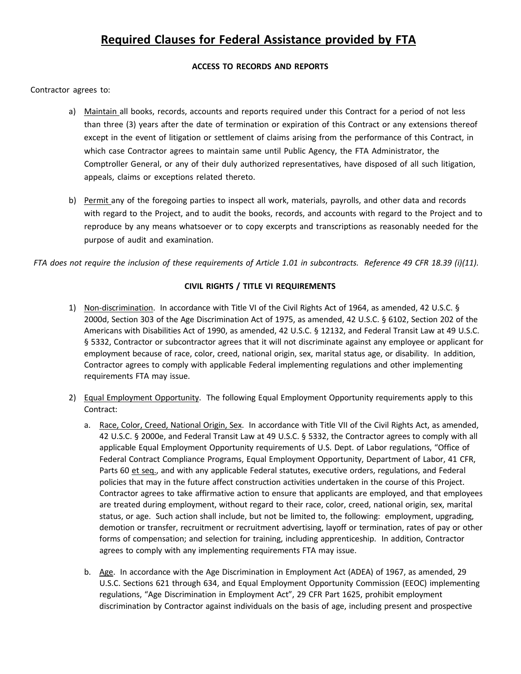### **Required Clauses for Federal Assistance provided by FTA**

#### **ACCESS TO RECORDS AND REPORTS**

Contractor agrees to:

- a) Maintain all books, records, accounts and reports required under this Contract for a period of not less than three (3) years after the date of termination or expiration of this Contract or any extensions thereof except in the event of litigation or settlement of claims arising from the performance of this Contract, in which case Contractor agrees to maintain same until Public Agency, the FTA Administrator, the Comptroller General, or any of their duly authorized representatives, have disposed of all such litigation, appeals, claims or exceptions related thereto.
- b) Permit any of the foregoing parties to inspect all work, materials, payrolls, and other data and records with regard to the Project, and to audit the books, records, and accounts with regard to the Project and to reproduce by any means whatsoever or to copy excerpts and transcriptions as reasonably needed for the purpose of audit and examination.

FTA does not require the inclusion of these requirements of Article 1.01 in subcontracts. Reference 49 CFR 18.39 (i)(11).

#### **CIVIL RIGHTS / TITLE VI REQUIREMENTS**

- 1) Non-discrimination. In accordance with Title VI of the Civil Rights Act of 1964, as amended, 42 U.S.C. § 2000d, Section 303 of the Age Discrimination Act of 1975, as amended, 42 U.S.C. § 6102, Section 202 of the Americans with Disabilities Act of 1990, as amended, 42 U.S.C. § 12132, and Federal Transit Law at 49 U.S.C. § 5332, Contractor or subcontractor agrees that it will not discriminate against any employee or applicant for employment because of race, color, creed, national origin, sex, marital status age, or disability. In addition, Contractor agrees to comply with applicable Federal implementing regulations and other implementing requirements FTA may issue.
- 2) Equal Employment Opportunity. The following Equal Employment Opportunity requirements apply to this Contract:
	- a. Race, Color, Creed, National Origin, Sex. In accordance with Title VII of the Civil Rights Act, as amended, 42 U.S.C. § 2000e, and Federal Transit Law at 49 U.S.C. § 5332, the Contractor agrees to comply with all applicable Equal Employment Opportunity requirements of U.S. Dept. of Labor regulations, "Office of Federal Contract Compliance Programs, Equal Employment Opportunity, Department of Labor, 41 CFR, Parts 60 et seq., and with any applicable Federal statutes, executive orders, regulations, and Federal policies that may in the future affect construction activities undertaken in the course of this Project. Contractor agrees to take affirmative action to ensure that applicants are employed, and that employees are treated during employment, without regard to their race, color, creed, national origin, sex, marital status, or age. Such action shall include, but not be limited to, the following: employment, upgrading, demotion or transfer, recruitment or recruitment advertising, layoff or termination, rates of pay or other forms of compensation; and selection for training, including apprenticeship. In addition, Contractor agrees to comply with any implementing requirements FTA may issue.
	- b. Age. In accordance with the Age Discrimination in Employment Act (ADEA) of 1967, as amended, 29 U.S.C. Sections 621 through 634, and Equal Employment Opportunity Commission (EEOC) implementing regulations, "Age Discrimination in Employment Act", 29 CFR Part 1625, prohibit employment discrimination by Contractor against individuals on the basis of age, including present and prospective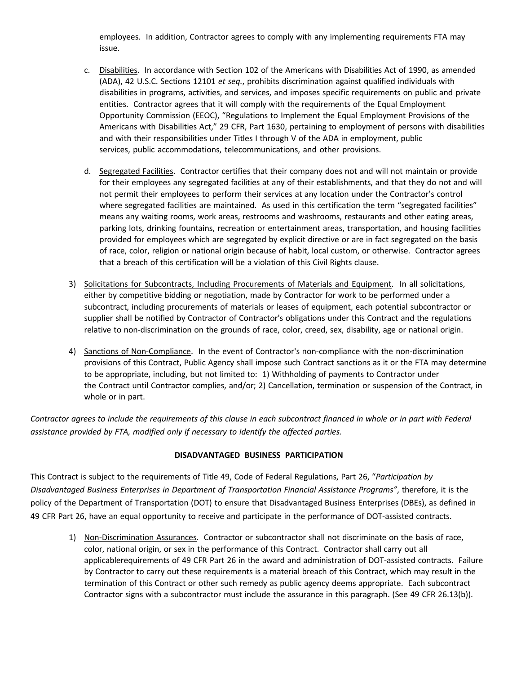employees. In addition, Contractor agrees to comply with any implementing requirements FTA may issue.

- c. Disabilities. In accordance with Section 102 of the Americans with Disabilities Act of 1990, as amended (ADA), 42 U.S.C. Sections 12101 *et seq.*, prohibits discrimination against qualified individuals with disabilities in programs, activities, and services, and imposes specific requirements on public and private entities. Contractor agrees that it will comply with the requirements of the Equal Employment Opportunity Commission (EEOC), "Regulations to Implement the Equal Employment Provisions of the Americans with Disabilities Act," 29 CFR, Part 1630, pertaining to employment of persons with disabilities and with their responsibilities under Titles I through V of the ADA in employment, public services, public accommodations, telecommunications, and other provisions.
- d. Segregated Facilities. Contractor certifies that their company does not and will not maintain or provide for their employees any segregated facilities at any of their establishments, and that they do not and will not permit their employees to perform their services at any location under the Contractor's control where segregated facilities are maintained. As used in this certification the term "segregated facilities" means any waiting rooms, work areas, restrooms and washrooms, restaurants and other eating areas, parking lots, drinking fountains, recreation or entertainment areas, transportation, and housing facilities provided for employees which are segregated by explicit directive or are in fact segregated on the basis of race, color, religion or national origin because of habit, local custom, or otherwise. Contractor agrees that a breach of this certification will be a violation of this Civil Rights clause.
- 3) Solicitations for Subcontracts, Including Procurements of Materials and Equipment. In all solicitations, either by competitive bidding or negotiation, made by Contractor for work to be performed under a subcontract, including procurements of materials or leases of equipment, each potential subcontractor or supplier shall be notified by Contractor of Contractor's obligations under this Contract and the regulations relative to non-discrimination on the grounds of race, color, creed, sex, disability, age or national origin.
- 4) Sanctions of Non-Compliance. In the event of Contractor's non-compliance with the non-discrimination provisions of this Contract, Public Agency shall impose such Contract sanctions as it or the FTA may determine to be appropriate, including, but not limited to: 1) Withholding of payments to Contractor under the Contract until Contractor complies, and/or; 2) Cancellation, termination or suspension of the Contract, in whole or in part.

Contractor agrees to include the requirements of this clause in each subcontract financed in whole or in part with Federal *assistance provided by FTA, modified only if necessary to identify the affected parties.*

#### **DISADVANTAGED BUSINESS PARTICIPATION**

This Contract is subject to the requirements of Title 49, Code of Federal Regulations, Part 26, "*Participation by Disadvantaged Business Enterprises in Department of Transportation Financial Assistance Programs"*, therefore, it is the policy of the Department of Transportation (DOT) to ensure that Disadvantaged Business Enterprises (DBEs), as defined in 49 CFR Part 26, have an equal opportunity to receive and participate in the performance of DOT-assisted contracts.

1) Non-Discrimination Assurances. Contractor or subcontractor shall not discriminate on the basis of race, color, national origin, or sex in the performance of this Contract. Contractor shall carry out all applicablerequirements of 49 CFR Part 26 in the award and administration of DOT-assisted contracts. Failure by Contractor to carry out these requirements is a material breach of this Contract, which may result in the termination of this Contract or other such remedy as public agency deems appropriate. Each subcontract Contractor signs with a subcontractor must include the assurance in this paragraph. (See 49 CFR 26.13(b)).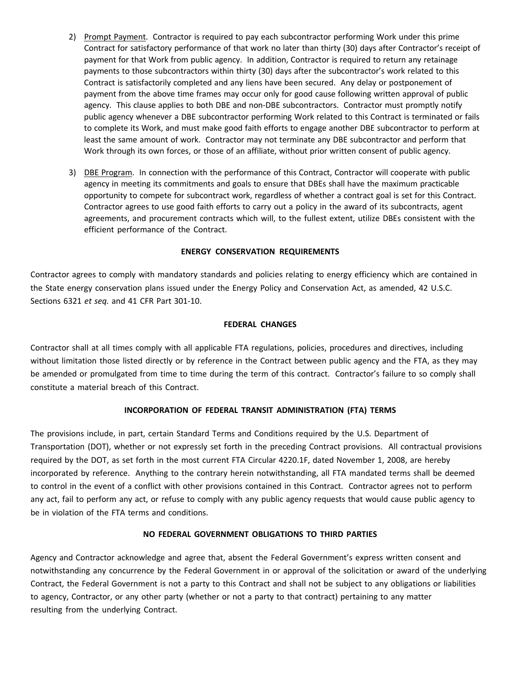- 2) Prompt Payment. Contractor is required to pay each subcontractor performing Work under this prime Contract for satisfactory performance of that work no later than thirty (30) days after Contractor's receipt of payment for that Work from public agency. In addition, Contractor is required to return any retainage payments to those subcontractors within thirty (30) days after the subcontractor's work related to this Contract is satisfactorily completed and any liens have been secured. Any delay or postponement of payment from the above time frames may occur only for good cause following written approval of public agency. This clause applies to both DBE and non-DBE subcontractors. Contractor must promptly notify public agency whenever a DBE subcontractor performing Work related to this Contract is terminated or fails to complete its Work, and must make good faith efforts to engage another DBE subcontractor to perform at least the same amount of work. Contractor may not terminate any DBE subcontractor and perform that Work through its own forces, or those of an affiliate, without prior written consent of public agency.
- 3) DBE Program. In connection with the performance of this Contract, Contractor will cooperate with public agency in meeting its commitments and goals to ensure that DBEs shall have the maximum practicable opportunity to compete for subcontract work, regardless of whether a contract goal is set for this Contract. Contractor agrees to use good faith efforts to carry out a policy in the award of its subcontracts, agent agreements, and procurement contracts which will, to the fullest extent, utilize DBEs consistent with the efficient performance of the Contract.

#### **ENERGY CONSERVATION REQUIREMENTS**

Contractor agrees to comply with mandatory standards and policies relating to energy efficiency which are contained in the State energy conservation plans issued under the Energy Policy and Conservation Act, as amended, 42 U.S.C. Sections 6321 *et seq.* and 41 CFR Part 301-10.

#### **FEDERAL CHANGES**

Contractor shall at all times comply with all applicable FTA regulations, policies, procedures and directives, including without limitation those listed directly or by reference in the Contract between public agency and the FTA, as they may be amended or promulgated from time to time during the term of this contract. Contractor's failure to so comply shall constitute a material breach of this Contract.

#### **INCORPORATION OF FEDERAL TRANSIT ADMINISTRATION (FTA) TERMS**

The provisions include, in part, certain Standard Terms and Conditions required by the U.S. Department of Transportation (DOT), whether or not expressly set forth in the preceding Contract provisions. All contractual provisions required by the DOT, as set forth in the most current FTA Circular 4220.1F, dated November 1, 2008, are hereby incorporated by reference. Anything to the contrary herein notwithstanding, all FTA mandated terms shall be deemed to control in the event of a conflict with other provisions contained in this Contract. Contractor agrees not to perform any act, fail to perform any act, or refuse to comply with any public agency requests that would cause public agency to be in violation of the FTA terms and conditions.

#### **NO FEDERAL GOVERNMENT OBLIGATIONS TO THIRD PARTIES**

Agency and Contractor acknowledge and agree that, absent the Federal Government's express written consent and notwithstanding any concurrence by the Federal Government in or approval of the solicitation or award of the underlying Contract, the Federal Government is not a party to this Contract and shall not be subject to any obligations or liabilities to agency, Contractor, or any other party (whether or not a party to that contract) pertaining to any matter resulting from the underlying Contract.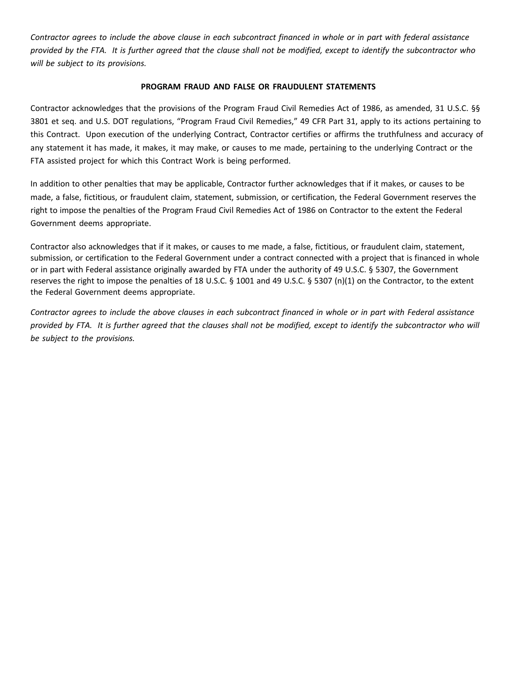Contractor agrees to include the above clause in each subcontract financed in whole or in part with federal assistance provided by the FTA. It is further agreed that the clause shall not be modified, except to identify the subcontractor who *will be subject to its provisions.*

#### **PROGRAM FRAUD AND FALSE OR FRAUDULENT STATEMENTS**

Contractor acknowledges that the provisions of the Program Fraud Civil Remedies Act of 1986, as amended, 31 U.S.C. §§ 3801 et seq. and U.S. DOT regulations, "Program Fraud Civil Remedies," 49 CFR Part 31, apply to its actions pertaining to this Contract. Upon execution of the underlying Contract, Contractor certifies or affirms the truthfulness and accuracy of any statement it has made, it makes, it may make, or causes to me made, pertaining to the underlying Contract or the FTA assisted project for which this Contract Work is being performed.

In addition to other penalties that may be applicable, Contractor further acknowledges that if it makes, or causes to be made, a false, fictitious, or fraudulent claim, statement, submission, or certification, the Federal Government reserves the right to impose the penalties of the Program Fraud Civil Remedies Act of 1986 on Contractor to the extent the Federal Government deems appropriate.

Contractor also acknowledges that if it makes, or causes to me made, a false, fictitious, or fraudulent claim, statement, submission, or certification to the Federal Government under a contract connected with a project that is financed in whole or in part with Federal assistance originally awarded by FTA under the authority of 49 U.S.C. § 5307, the Government reserves the right to impose the penalties of 18 U.S.C. § 1001 and 49 U.S.C. § 5307 (n)(1) on the Contractor, to the extent the Federal Government deems appropriate.

Contractor agrees to include the above clauses in each subcontract financed in whole or in part with Federal assistance provided by FTA. It is further agreed that the clauses shall not be modified, except to identify the subcontractor who will *be subject to the provisions.*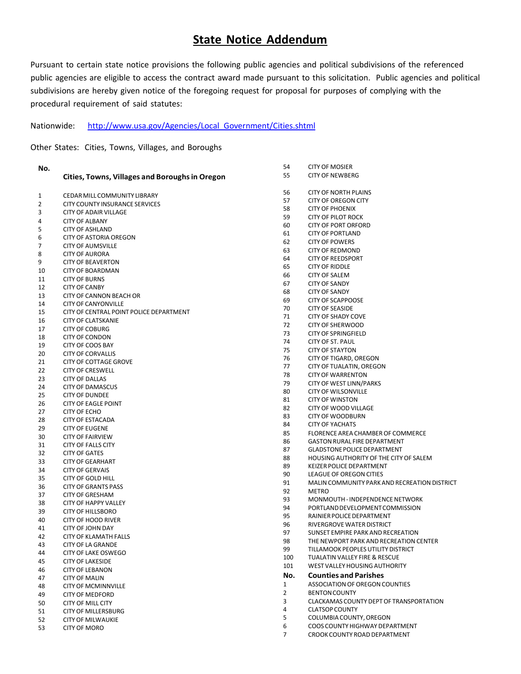### **State Notice Addendum**

Pursuant to certain state notice provisions the following public agencies and political subdivisions of the referenced public agencies are eligible to access the contract award made pursuant to this solicitation. Public agencies and political subdivisions are hereby given notice of the foregoing request for proposal for purposes of complying with the procedural requirement of said statutes:

CITY OF MOSIER

Nationwide: http://www.usa.gov/Agencies/Local\_Government/Cities.shtml

Other States: Cities, Towns, Villages, and Boroughs

| No.    |                                                       | 54             | <b>CITY OF MOSIER</b>                                              |
|--------|-------------------------------------------------------|----------------|--------------------------------------------------------------------|
|        | <b>Cities, Towns, Villages and Boroughs in Oregon</b> | 55             | <b>CITY OF NEWBERG</b>                                             |
|        |                                                       |                |                                                                    |
| 1      | CEDAR MILL COMMUNITY LIBRARY                          | 56             | <b>CITY OF NORTH PLAINS</b>                                        |
| 2      | CITY COUNTY INSURANCE SERVICES                        | 57             | <b>CITY OF OREGON CITY</b>                                         |
| 3      | <b>CITY OF ADAIR VILLAGE</b>                          | 58             | <b>CITY OF PHOENIX</b>                                             |
|        |                                                       | 59             | <b>CITY OF PILOT ROCK</b>                                          |
| 4<br>5 | <b>CITY OF ALBANY</b>                                 | 60             | <b>CITY OF PORT ORFORD</b>                                         |
|        | <b>CITY OF ASHLAND</b>                                | 61             | <b>CITY OF PORTLAND</b>                                            |
| 6      | <b>CITY OF ASTORIA OREGON</b>                         | 62             | <b>CITY OF POWERS</b>                                              |
| 7      | <b>CITY OF AUMSVILLE</b>                              | 63             | <b>CITY OF REDMOND</b>                                             |
| 8      | <b>CITY OF AURORA</b>                                 | 64             | <b>CITY OF REEDSPORT</b>                                           |
| 9      | <b>CITY OF BEAVERTON</b>                              | 65             | <b>CITY OF RIDDLE</b>                                              |
| 10     | <b>CITY OF BOARDMAN</b>                               | 66             | <b>CITY OF SALEM</b>                                               |
| 11     | <b>CITY OF BURNS</b>                                  | 67             | <b>CITY OF SANDY</b>                                               |
| 12     | <b>CITY OF CANBY</b>                                  | 68             | <b>CITY OF SANDY</b>                                               |
| 13     | CITY OF CANNON BEACH OR                               | 69             | <b>CITY OF SCAPPOOSE</b>                                           |
| 14     | <b>CITY OF CANYONVILLE</b>                            | 70             | <b>CITY OF SEASIDE</b>                                             |
| 15     | CITY OF CENTRAL POINT POLICE DEPARTMENT               | 71             | <b>CITY OF SHADY COVE</b>                                          |
| 16     | <b>CITY OF CLATSKANIE</b>                             | 72             | <b>CITY OF SHERWOOD</b>                                            |
| 17     | <b>CITY OF COBURG</b>                                 | 73             | <b>CITY OF SPRINGFIELD</b>                                         |
| 18     | <b>CITY OF CONDON</b>                                 | 74             | CITY OF ST. PAUL                                                   |
| 19     | CITY OF COOS BAY                                      | 75             | <b>CITY OF STAYTON</b>                                             |
| 20     | <b>CITY OF CORVALLIS</b>                              | 76             | CITY OF TIGARD, OREGON                                             |
| 21     | <b>CITY OF COTTAGE GROVE</b>                          | 77             | CITY OF TUALATIN, OREGON                                           |
| 22     | <b>CITY OF CRESWELL</b>                               | 78             | <b>CITY OF WARRENTON</b>                                           |
| 23     | <b>CITY OF DALLAS</b>                                 | 79             | CITY OF WEST LINN/PARKS                                            |
| 24     | <b>CITY OF DAMASCUS</b>                               | 80             | <b>CITY OF WILSONVILLE</b>                                         |
| 25     | <b>CITY OF DUNDEE</b>                                 | 81             | <b>CITY OF WINSTON</b>                                             |
| 26     | <b>CITY OF EAGLE POINT</b>                            | 82             | CITY OF WOOD VILLAGE                                               |
| 27     | CITY OF ECHO                                          | 83             | <b>CITY OF WOODBURN</b>                                            |
| 28     | <b>CITY OF ESTACADA</b>                               | 84             | <b>CITY OF YACHATS</b>                                             |
| 29     | <b>CITY OF EUGENE</b>                                 | 85             | FLORENCE AREA CHAMBER OF COMMERCE                                  |
| 30     | <b>CITY OF FAIRVIEW</b>                               | 86             | <b>GASTON RURAL FIRE DEPARTMENT</b>                                |
| 31     | <b>CITY OF FALLS CITY</b>                             | 87             | <b>GLADSTONE POLICE DEPARTMENT</b>                                 |
| 32     | <b>CITY OF GATES</b>                                  | 88             |                                                                    |
| 33     | <b>CITY OF GEARHART</b>                               | 89             | HOUSING AUTHORITY OF THE CITY OF SALEM<br>KEIZER POLICE DEPARTMENT |
| 34     | <b>CITY OF GERVAIS</b>                                | 90             | LEAGUE OF OREGON CITIES                                            |
| 35     | CITY OF GOLD HILL                                     | 91             | MALIN COMMUNITY PARK AND RECREATION DISTRICT                       |
| 36     | <b>CITY OF GRANTS PASS</b>                            |                |                                                                    |
| 37     | <b>CITY OF GRESHAM</b>                                | 92             | <b>METRO</b><br>MONMOUTH - INDEPENDENCE NETWORK                    |
| 38     | <b>CITY OF HAPPY VALLEY</b>                           | 93             |                                                                    |
| 39     | <b>CITY OF HILLSBORO</b>                              | 94             | PORTLAND DEVELOPMENT COMMISSION                                    |
| 40     | <b>CITY OF HOOD RIVER</b>                             | 95             | RAINIER POLICE DEPARTMENT                                          |
| 41     | <b>CITY OF JOHN DAY</b>                               | 96             | RIVERGROVE WATER DISTRICT                                          |
| 42     | <b>CITY OF KLAMATH FALLS</b>                          | 97             | SUNSET EMPIRE PARK AND RECREATION                                  |
| 43     | CITY OF LA GRANDE                                     | 98             | THE NEWPORT PARK AND RECREATION CENTER                             |
| 44     | CITY OF LAKE OSWEGO                                   | 99             | TILLAMOOK PEOPLES UTILITY DISTRICT                                 |
| 45     | <b>CITY OF LAKESIDE</b>                               | 100            | TUALATIN VALLEY FIRE & RESCUE                                      |
| 46     | <b>CITY OF LEBANON</b>                                | 101            | WEST VALLEY HOUSING AUTHORITY                                      |
| 47     | <b>CITY OF MALIN</b>                                  | No.            | <b>Counties and Parishes</b>                                       |
| 48     | <b>CITY OF MCMINNVILLE</b>                            | $\mathbf{1}$   | ASSOCIATION OF OREGON COUNTIES                                     |
| 49     | <b>CITY OF MEDFORD</b>                                | $\overline{2}$ | <b>BENTON COUNTY</b>                                               |
| 50     | <b>CITY OF MILL CITY</b>                              | 3              | CLACKAMAS COUNTY DEPT OF TRANSPORTATION                            |
| 51     | <b>CITY OF MILLERSBURG</b>                            | 4              | <b>CLATSOP COUNTY</b>                                              |
| 52     | <b>CITY OF MILWAUKIE</b>                              | 5              | COLUMBIA COUNTY, OREGON                                            |
| 53     | <b>CITY OF MORO</b>                                   | 6              | COOS COUNTY HIGHWAY DEPARTMENT                                     |
|        |                                                       | $\overline{7}$ | CROOK COUNTY ROAD DEPARTMENT                                       |
|        |                                                       |                |                                                                    |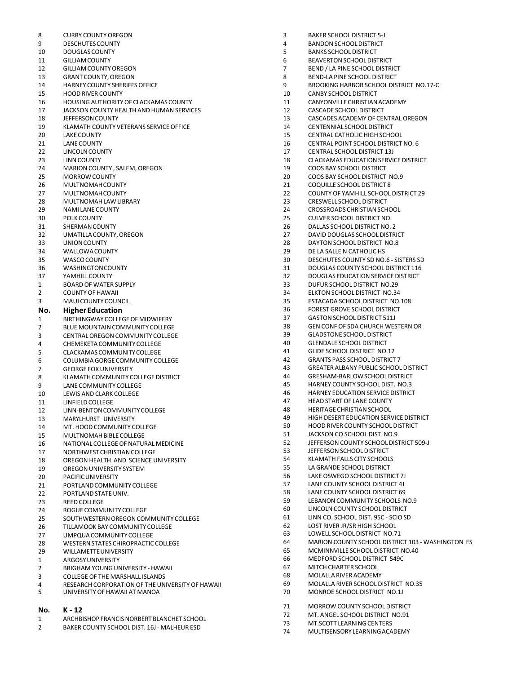9 DESCHUTESCOUNTY 4 BANDONSCHOOLDISTRICT 10 DOUGLASCOUNTY 5 BANKS SCHOOL DISTRICT 11 GILLIAM COUNTY **11 GILLIAM COUNTY 12 COUNTY 6** BEAVERTON SCHOOL DISTRICT 12 GILLIAMCOUNTYOREGON 7 BEND / LA PINE SCHOOL DISTRICT 13 GRANT COUNTY,OREGON 8 BEND-LA PINE SCHOOL DISTRICT 14 HARNEY COUNTY SHERIFFS OFFICE THE SUMMAN SERIES OF STATE STATES OF THE SERIES OF STATES OF THE STATES OF TH<br>10 TANRY SCHOOL DISTRICT 15 HOOD RIVER COUNTY 10 CANBY SCHOOL DISTRICT 16 HOUSING AUTHORITY OF CLACKAMAS COUNTY LAND 11 17 JACKSON COUNTY HEALTH AND HUMAN SERVICES 12 CASCADE SCHOOL DISTRICT 18 JEFFERSONCOUNTY 13 CASCADES ACADEMY OF CENTRAL OREGON 19 KLAMATH COUNTY VETERANS SERVICE OFFICE 14 CENTENNIAL SCHOOLDISTRICT 20 LAKE COUNTY **15** CENTRAL CATHOLIC HIGH SCHOOL 21 LANE COUNTY 16 CENTRAL POINT SCHOOL DISTRICT NO. 6 22 LINCOLNCOUNTY 17 CENTRAL SCHOOL DISTRICT 13J 23 LINNCOUNTY 18 CLACKAMAS EDUCATIONSERVICE DISTRICT 24 MARION COUNTY , SALEM, OREGON 19 COOS BAY SCHOOL DISTRICT 25 MORROWCOUNTY 20 COOS BAY SCHOOL DISTRICT NO.9 26 MULTNOMAHCOUNTY 21 COQUILLE SCHOOL DISTRICT 8 27 MULTNOMAHCOUNTY 22 COUNTY OF YAMHILL SCHOOL DISTRICT 29 28 MULTNOMAHLAWLIBRARY 23 CRESWELL SCHOOL DISTRICT 30 POLK COUNTY 25 CULVER SCHOOL DISTRICT NO. 31 SHERMANCOUNTY 26 DALLAS SCHOOL DISTRICT NO. 2 32 UMATILLACOUNTY,OREGON 27 DAVID DOUGLAS SCHOOL DISTRICT 33 UNIONCOUNTY 28 DAYTON SCHOOL DISTRICT NO.8 34 WALLOWACOUNTY 29 DE LA SALLE N CATHOLIC HS 35 WASCOCOUNTY 30 DESCHUTES COUNTY SD NO.6 - SISTERS SD 37 YAMHILLCOUNTY 32 DOUGLAS EDUCATIONSERVICE DISTRICT 1 BOARD OF WATER SUPPLY RELATION CONTROL TO A SAME SUPPLY AND STRICT ON A SAME SUPPLY SCHOOL DISTRICT NO.29<br>2 COUNTY OF HAWAII CONTROL OF STRICT ON A SAME SUPPLY AND SAME SUPPLY OF SAME SCHOOL DISTRICT NO.34 3 MAUI COUNTY COUNCIL 35 ESTACADA SCHOOL DISTRICT NO.108 **No. HigherEducation** 36 FOREST GROVE SCHOOL DISTRICT 1 BIRTHINGWAY COLLEGEOF MIDWIFERY 37 GASTONSCHOOL DISTRICT 511J 2 BLUE MOUNTAIN COMMUNITY COLLEGE AND SERIES AND SERIES OF SPACHURCH WITH SERIES OF SUMMAN OR SERIES OF SPACHURCH WI<br>39 GENTRAL OREGON COMMUNITY COLLEGE AND SERIES AND SERIES OF SPACE OF SPACE OR SERIES OF SPACE OR SERIES CENTRAL OREGON COMMUNITY COLLEGE  $\begin{array}{ccc} 39 & 6 \text{LADSTONE} \text{SCHOOL DISTRIC} \end{array}$ <br>CHEMEKETA COMMUNITY COLLEGE  $\begin{array}{ccc} 39 & 39 \end{array}$  GLENDALE SCHOOL DISTRICT 4 CHEMEKETACOMMUNITYCOLLEGE 40 GLENDALE SCHOOLDISTRICT 5 CLACKAMASCOMMUNITYCOLLEGE 41 GLIDE SCHOOL DISTRICT NO.12 6 COLUMBIAGORGE COMMUNITY COLLEGE 42 GRANTS PASS SCHOOL DISTRICT 7 8 KLAMATH COMMUNITY COLLEGE DISTRICT<br>9 CRESHAM-BARLOWSCHOOLDISTRICT<br>45 9 LANE COMMUNITY COLLEGE 1999 LANE COMMUNITY COLLEGE 1999 LANE RESOUNCE AND LOCAL COMMUNITY COLLEGE 10 MB 2011<br>10 TEWIS AND CLARK COLLEGE 1999 LANE RESOUNCE DISTRICT AND RESOUNCE DISTRICT AND LANE RESOUNCE DISTRICT AND RE 10 LEWIS AND CLARK COLLEGE 146 HARNEY EDUCATION SERVICE DISTRICT<br>11 LINETIN COLLEGE 47 HEAD START OF LANE COLLEGE 11 LINFIELD COLLEGE 1999 AND THEAD START OF LANE COUNTY<br>12 LINN-RENTON COMMUNITY COLLEGE 1999 AND 2009 AND 48 HERITAGE CHRISTIAN SCHOOL 12 LINN-BENTON COMMUNITY COLLEGE 48 https://www.assett.com/munityress/characters.com/munityress/characters/characters/characters/characters/characters/characters/characters/characters/characters/characters/characters/chara 13 MARYLHURST UNIVERSITY<br>14 MAT HOOD COMMUNITY COLLEGE THE STATE RESERVED SO HOOD RIVER COUNTY SCHOOL DISTRICT 14 MT. HOOD COMMUNITY COLLEGE 50 HOOD RIVER COUNTY SCHOOL DISTRICT 15 MULTNOMAHBIBLE COLLEGE 51 JACKSON CO SCHOOL DIST NO.9 16 NATIONAL COLLEGE OF NATURAL MEDICINE 1999 1999 1999 1999 12 JEFFERSON COUNTY SCHOOL<br>16 NORTHWEST CHRISTIAN COLLEGE 17 NORTHWEST CHRISTIANCOLLEGE 53 JEFFERSONSCHOOL DISTRICT 18 OREGON HEALTH AND SCIENCE UNIVERSITY<br>19 OREGON UNIVERSITY SYSTEM 19 OREGONUNIVERSITY SYSTEM 55 LA GRANDE SCHOOL DISTRICT 21 PORTLAND COMMUNITY COLLEGE 57<br>22 DOPTLAND STATE LINIV 22 PORTLAND STATE UNIV.<br>23 REED COLLEGE STATE UNIV. THE STATE STATE STATE STATE STATE STATE STATE STATE STATE STATE STATE STATE STATE<br>23 REED COLLEGE STATE STATE STATE STATE STATE STATE STATE STATE STATE STATE STATE STATE 23 REED COLLEGE 59 LEBANON COMMUNITY SCHOOLS NO.9<br>24 DOGLIE COMMUNITY COLLEGE 59 LEBANON COUNTY SCHOOL DISTRICT 24 ROGUE COMMUNITY COLLEGE 60 LINCOLNCOUNTY SCHOOL DISTRICT 25 SOUTHWESTERNOREGONCOMMUNITY COLLEGE 61 LINN CO. SCHOOL DIST. 95C - SCIO SD 26 TILLAMOOK BAY COMMUNITY COLLEGE 62 LOST RIVER JR/SR HIGH SCHOOL 27 UMPQUA COMMUNITY COLLEGE<br>28 DESTERN STATES CHIROPRACTIC COLLEGE AND SCHOOL DISTRICT NO.7121 28 WESTERN STATES CHIROPRACTIC COLLEGE 64 MARION COUNTY SCHOOL DISTRICT 103 - WASHINGTON ES<br>29 MILLAMETTE UNIVERSITY

8 CURRY COUNTY OREGON **1999 CURRY COUNTY OREGON 3** BAKER SCHOOL DISTRICT 5-J

- 
- 
- 
- 
- UNIVERSITY OF HAWAII AT MANOA

#### **No. K - 12**

- 1 ARCHBISHOP FRANCISNORBERT BLANCHET SCHOOL
- 2 BAKER COUNTY SCHOOL DIST. 16J MALHEUR ESD
- CROSSROADS CHRISTIAN SCHOOL DOUGLAS COUNTY SCHOOL DISTRICT 116 **ELKTON SCHOOL DISTRICT NO.34** 43 GREATER ALBANY PUBLIC SCHOOL DISTRICT<br>44 GRESHAM-BARI OW SCHOOL DISTRICT 20 **LAKE OSWEGO SCHOOL DISTRICT 7J**<br>20 PACIFIC COUNTY SCHOOL DISTRICT 41 29 WILLAMETTEUNIVERSITY 65 MCMINNVILLE SCHOOL DISTRICT NO.40 1 ARGOSYUNIVERSITY<br>2 BRIGHAM VOLING UNIVERSITY - HAWAII CHARGOST CONTRACT OF STATISTIC MITCH CHARTER SCHOOL 2 BRIGHAM YOUNG UNIVERSITY - HAWAII 67 MITCH CHARTER SCHOOL AND STOLEN ASSESS TO A LOCAL TRANSPORT OF THE MARTER SCHOOL AND STOLEN AND STOLEN AND STOLEN AND STOLEN AND STOLEN AND STOLEN AND STOLEN AND STOLEN AND STOLEN AND 3 COLLEGE OF THE MARSHALL ISLANDS 68 MOLALLA RIVERACADEMY 4 RESEARCH CORPORATION OF THE UNIVERSITY OF HAWAII 69 MOLALLA RIVER SCHOOL DISTRICT NO.35
	- 71 MORROW COUNTY SCHOOL DISTRICT
	- 72 MT. ANGEL SCHOOL DISTRICT NO.91 73 MT.SCOTT LEARNINGCENTERS
	-
	- 74 MULTISENSORYLEARNINGACADEMY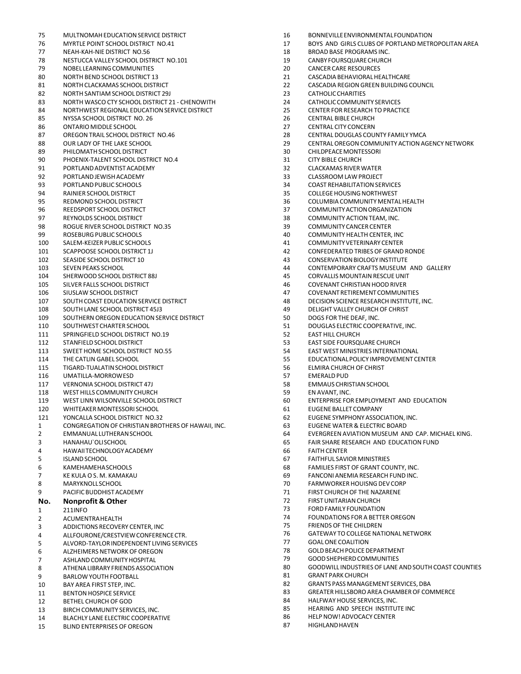75 MULTNOMAH EDUCATION SERVICE DISTRICT 16 BONNEVILLE ENVIRONMENTAL FOUNDATION 77 NEAH-KAH-NIE DISTRICT NO.56 18 BROAD BASE PROGRAMS INC. 78 NESTUCCA VALLEY SCHOOL DISTRICT NO.101 19 CANBY FOURSQUARE CHURCH NOBELLEARNINGCOMMUNITIES 20 CANCER CARE RESOURCES NORTH BEND SCHOOL DISTRICT 13 21 CASCADIABEHAVIORALHEALTHCARE NORTHCLACKAMAS SCHOOLDISTRICT 22 CASCADIA REGIONGREENBUILDING COUNCIL NORTH SANTIAM SCHOOL DISTRICT 29J 23 CATHOLICCHARITIES NORTH WASCO CTY SCHOOL DISTRICT 21 - CHENOWITH 24 CATHOLICCOMMUNITY SERVICES NORTHWEST REGIONAL EDUCATIONSERVICE DISTRICT 25 CENTER FOR RESEARCH TO PRACTICE NYSSA SCHOOL DISTRICT NO. 26 26 CENTRAL BIBLE CHURCH ONTARIO MIDDLE SCHOOL 27 CENTRAL CITY CONCERN OREGON TRAIL SCHOOL DISTRICT NO.46 28 CENTRAL DOUGLAS COUNTY FAMILY YMCA OUR LADY OF THE LAKE SCHOOL 29 CENTRALOREGONCOMMUNITY ACTIONAGENCY NETWORK PHILOMATHSCHOOLDISTRICT 30 CHILDPEACEMONTESSORI PHOENIX-TALENT SCHOOL DISTRICT NO.4 31 CITY BIBLE CHURCH PORTLANDADVENTISTACADEMY 32 CLACKAMAS RIVERWATER PORTLANDJEWISHACADEMY 33 CLASSROOM LAW PROJECT PORTLANDPUBLIC SCHOOLS 34 COAST REHABILITATIONSERVICES RAINIER SCHOOL DISTRICT 35 COLLEGEHOUSINGNORTHWEST REDMOND SCHOOLDISTRICT 36 COLUMBIA COMMUNITYMENTALHEALTH REEDSPORT SCHOOL DISTRICT 37 COMMUNITYACTIONORGANIZATION REYNOLDS SCHOOL DISTRICT 38 COMMUNITY ACTIONTEAM, INC. 98 ROGUE RIVER SCHOOL DISTRICT NO.35 39 COMMUNITY CANCER CENTER ROSEBURGPUBLIC SCHOOLS 40 COMMUNITY HEALTH CENTER, INC SALEM-KEIZER PUBLIC SCHOOLS 41 COMMUNITYVETERINARY CENTER SCAPPOOSE SCHOOL DISTRICT 1J 42 CONFEDERATED TRIBES OF GRAND RONDE SEASIDE SCHOOL DISTRICT 10 43 CONSERVATIONBIOLOGY INSTITUTE 103 SEVEN PEAKS SCHOOL 103 SEVEN PEAKS SCHOOL 104 SEVEN PEAKS SCHOOL DISTRICT 88J<br>104 SHERWOOD SCHOOL DISTRICT 88J 1004 SHERWOOD SCHOOL DISTRICT 88J SHERWOOD SCHOOL DISTRICT 88J 45 CORVALLIS MOUNTAINRESCUEUNIT SILVER FALLS SCHOOL DISTRICT 46 COVENANT CHRISTIANHOOD RIVER SIUSLAW SCHOOL DISTRICT 47 COVENANTRETIREMENTCOMMUNITIES SOUTHCOAST EDUCATIONSERVICE DISTRICT 48 DECISIONSCIENCE RESEARCH INSTITUTE, INC. SOUTH LANE SCHOOL DISTRICT 45J3 49 DELIGHT VALLEY CHURCH OF CHRIST 109 SOUTHERN OREGON EDUCATION SERVICE DISTRICT 50 DOGS FOR THE DEAF, INC. SOUTHWEST CHARTER SCHOOL 51 DOUGLAS ELECTRIC COOPERATIVE, INC. 111 SPRINGFIELD SCHOOL DISTRICT NO.19 52 EAST HILL CHURCH STANFIELDSCHOOLDISTRICT 53 EAST SIDE FOURSQUARE CHURCH THE CATLIN GABEL SCHOOL 55 EDUCATIONALPOLICY IMPROVEMENT CENTER TIGARD-TUALATINSCHOOLDISTRICT 56 ELMIRA CHURCH OF CHRIST UMATILLA-MORROWESD VERNONIA SCHOOL DISTRICT 47J 58 EMMAUS CHRISTIANSCHOOL 118 WEST HILLS COMMUNITY CHURCH 1990 EN AVANT, INC.<br>119 WEST LINN WILSONVILLE SCHOOL DISTRICT 1990 FOR THE RESERVES FO WHITEAKERMONTESSORI SCHOOL 61 EUGENEBALLET COMPANY 121 YONCALLA SCHOOL DISTRICT NO.32<br>1 CONGREGATION OF CHRISTIAN RROTHERS OF HAWAIL INC 63 FLIGENE WATER & FLECTRIC ROARD 1 CONGREGATION OF CHRISTIAN BROTHERS OF HAWAII, INC. EMMANUAL LUTHERANSCHOOL 64 EVERGREENAVIATION MUSEUM AND CAP. MICHAEL KING. HANAHAU`OLISCHOOL 65 FAIR SHARE RESEARCH AND EDUCATION FUND HAWAIITECHNOLOGYACADEMY 66 FAITHCENTER ISLANDSCHOOL 67 FAITHFUL SAVIOR MINISTRIES KAMEHAMEHASCHOOLS 68 FAMILIES FIRST OF GRANT COUNTY, INC. KE KULA O S. M. KAMAKAU 69 FANCONI ANEMIA RESEARCH FUND INC. 8 MARYKNOLLSCHOOL 2008 MARYKOLLSCHOOL 20 MARYKOLLSCHOOL 2008 MARYKOLLSCHOOL 2008 MARYKOLLSCHOOL PACIFIC BUDDHISTACADEMY 71 FIRST CHURCH OF THE NAZARENE **No. Nonprofit & Other** 72 FIRSTUNITARIANCHURCH 211INFO 73 FORDFAMILY FOUNDATION ACUMENTRAHEALTH 74 FOUNDATIONS FOR A BETTER OREGON ADDICTIONS RECOVERY CENTER, INC 75 FRIENDS OF THE CHILDREN ALLFOURONE/CRESTVIEWCONFERENCECTR. 76 GATEWAY TOCOLLEGENATIONAL NETWORK ALVORD-TAYLORINDEPENDENT LIVINGSERVICES 77 GOALONE COALITION ALZHEIMERS NETWORK OF OREGON 78 GOLDBEACHPOLICE DEPARTMENT 7 ASHLAND COMMUNITY HOSPITAL 79 GOODSHEEPHERD ON ASSOCIATION<br>2 GOODSHEPHERD ASSOCIATION 8 ATHENA LIBRARY FRIENDS ASSOCIATION CONTROL SOCIETY AND SOLD BOODWILL INDUSTRIES OF LANE AND SOUTH COAST COUNTIES<br>8.1 GRANT PARK CHURCH BARLOW YOUTHFOOTBALL 81 GRANT PARK CHURCH 10 BAY AREA FIRST STEP, INC.<br>10 BENTON HOSPICE SERVICE SUBSEX BENDER STEPS A STATE SERVICES, DRA GREATER HILLSBORO AREA CHAMBER OF COMPLETE 11 BENTON HOSPICE SERVICE<br>12 BETHEL CHILPCH OF GOD 12 BETHEL CHURCH OF GOD SANTIFIED AND RESOURCE SERVICES, INC. A SANTIFIED BY A HALFWAY HOUSE SERVICES, INC.<br>13 BIRCH COMMUNITY SERVICES. INC. A SANTIFIED AND SERVICE ON BIRCH COMMUNITY SERVICES, INC. BIRCH COMMUNITY SERVICES, INC. 85 HEARING AND SPEECH INSTITUTE INC BLACHLY LANE ELECTRIC COOPERATIVE 86 HELPNOW! ADVOCACY CENTER

15 BLIND ENTERPRISES OF OREGON

- 
- MYRTLE POINT SCHOOL DISTRICT NO.41 17 BOYS AND GIRLS CLUBS OF PORTLAND METROPOLITAN AREA
	- -
	-
	-
	-
	-
	-
	-
	-
	-
	-
	-
	-
	-
	-
	-
	-
	-
	-
	-
	-
	-
	-
	-
	-
	-
	-
	-
	-
	-
	-
	-
	-
	-
	-
	-
	- **EAST WEST MINISTRIES INTERNATIONAL**
	-
	-
	-
	-
	-
	- **ENTERPRISE FOR EMPLOYMENT AND EDUCATION**
	-
	-
	-
	-
	-
	-
	-
	-
	-
	-
	-
	-
	-
	-
	-
	-
	-
	-
	-
	-
	-
	-
	-
	-
	-
	-
	-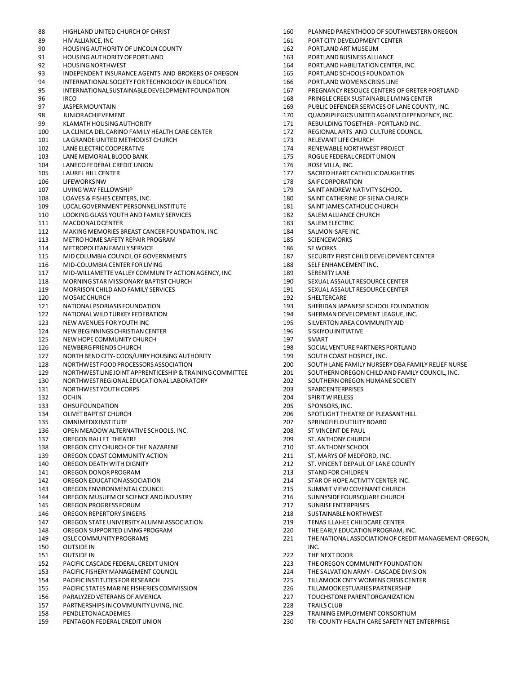- 
- 
- 90 HOUSING AUTHORITY OF LINCOLN COUNTY **162** PORTLAND ART MUSEUM
- 91 HOUSINGAUTHORITYOF PORTLAND 163 PORTLANDBUSINESSALLIANCE
- 
- 93 INDEPENDENT INSURANCE AGENTS AND BROKERS OF OREGON 165 PORTLAND SCHOOLS FOUNDATION
- 94 INTERNATIONAL SOCIETY FOR TECHNOLOGY IN EDUCATION 166 PORTLAND WOMENS CRISIS LINE
- 95 INTERNATIONAL SUSTAINABLE DEVELOPMENT FOUNDATION 167 PREGNANCY RESOUCE CENTERS OF GRETER PORTLAND
- 
- 
- 
- 
- 100 LA CLINICA DEL CARINO FAMILY HEALTH CARE CENTER 172 REGIONAL ARTS AND CULTURE COUNCIL
- 101 LA GRANDE UNITED METHODIST CHURCH 173 RELEVANT LIFE CHURCH
- 102 LANE ELECTRIC COOPERATIVE 174 RENEWABLE NORTHWEST PROJECT
- 103 LANE MEMORIAL BLOOD BANK 175 ROGUE FEDERAL CREDIT UNION
- 104 LANECOFEDERAL CREDIT UNION 176 ROSE VILLA, INC.
- 
- 106 LIFEWORKS NW **178 SAIFCORPORATION**
- 
- 
- 109 LOCAL GOVERNMENT PERSONNEL INSTITUTE 181 SAINT JAMES CATHOLIC CHURCH
- 110 LOOKING GLASS YOUTH AND FAMILY SERVICES 182 SALEM ALLIANCE CHURCH
- 111 MACDONALDCENTER 183 SALEM ELECTRIC
- 112 MAKING MEMORIES BREAST CANCER FOUNDATION. INC. 184 SALMON-SAFE INC.
- 113 METROHOME SAFETY REPAIR PROGRAM 185 SCIENCEWORKS
- 114 METROPOLITAN FAMILY SERVICE 186 SENORKS
- 
- 116 MID-COLUMBIA CENTER FOR LIVING 188 SELF ENHANCEMENT INC.
- 117 MID-WILLAMETTE VALLEY COMMUNITY ACTION AGENCY, INC 189 SERENITY LANE
- 118 MORNING STAR MISSIONARY BAPTIST CHURCH 190 SEXUAL ASSAULT RESOURCE CENTER
- 119 MORRISON CHILD AND FAMILY SERVICES 191 SEXUAL ASSAULT RESOURCE CENTER
- 120 MOSAICCHURCH 192 SHELTERCARE
- 121 NATIONALPSORIASISFOUNDATION 193 SHERIDANJAPANESE SCHOOL FOUNDATION
- 122 NATIONALWILDTURKEY FEDERATION 194 SHERMANDEVELOPMENT LEAGUE, INC.
- 123 NEW AVENUES FOR YOUTH INC 195 SILVERTONAREA COMMUNITY AID
- 124 NEW BEGINNINGS CHRISTIAN CENTER 196 SISKIYOU INITIATIVE
- 125 NEW HOPE COMMUNITY CHURCH 197 NO. 197 SMART
- 
- 126 NEWBERG FRIENDS CHURCH<br>127 NORTH BEND CITY- COOS/URRY HOUSING AUTHORITY 199 SOUTH COAST HOSPICE. INC. 127 NORTH BEND CITY- COOS/URRY HOUSING AUTHORITY 199 SOUTH COAST HOSPICE, INC.
- 128 NORTHWEST FOODPROCESSORSASSOCIATION 200 SOUTH LANE FAMILY NURSERY DBA FAMILY RELIEF NURSE
- 129 NORTHWEST LINE JOINT APPRENTICESHIP&TRAININGCOMMITTEE 201 SOUTHERN OREGON CHILD AND FAMILY COUNCIL, INC.
- 130 NORTHWESTREGIONALEDUCATIONALLABORATORY 202 SOUTHERNOREGONHUMANE SOCIETY
- 131 NORTHWEST YOUTH CORPS<br>132 OCHIN CORPS 204 SPIRIT WIRELESS
- 132 OCHIN 204 SPIRITWIRELESS
- 133 OHSUFOUNDATION 205 SPONSORS,INC.
- 134 OLIVET BAPTIST CHURCH 206 SPOTLIGHT THEATRE OF PLEASANT HILL
- 135 OMNIMEDIXINSTITUTE 207 SPRINGFIELDUTILITY BOARD
- 136 OPEN MEADOW ALTERNATIVE SCHOOLS, INC. **208** ST VINCENT DE PAUL
- 137 OREGON BALLET THEATRE 209 ST. ANTHONY CHURCH
- 138 OREGON CITY CHURCH OF THE NAZARENE **210** ST. ANTHONY SCHOOL
- 139 OREGONCOAST COMMUNITY ACTION 211 ST. MARYS OF MEDFORD, INC.
- 
- 140 OREGONDEATH WITH DIGNITY 212 ST. VINCENT DEPAUL OF LANE COUNTY 141 OREGON DONOR PROGRAM
- 142 OREGONEDUCATIONASSOCIATION 214 STAR OF HOPE ACTIVITY CENTER INC.
- 143 OREGONENVIRONMENTALCOUNCIL 215 SUMMIT VIEW COVENANT CHURCH
- 144 OREGON MUSUEM OF SCIENCE AND INDUSTRY 216 SUNNYSIDE FOURSQUARE CHURCH
- 145 OREGON PROGRESS FORUM 217
- 146 OREGONREPERTORY SINGERS 218 SUSTAINABLENORTHWEST
- 147 OREGONSTATEUNIVERSITYALUMNIASSOCIATION 219 TENAS ILLAHEE CHILDCARE CENTER
- 148 OREGON SUPPORTED LIVING PROGRAM 220
- 149 OSLCCOMMUNITYPROGRAMS 221 THENATIONAL ASSOCIATIONOF CREDIT MANAGEMENT-OREGON,
- 150 OUTSIDE IN **INC.**
- 151 OUTSIDE IN 222 THE NEXT DOOR
- 152 PACIFIC CASCADE FEDERAL CREDIT UNION 223 THEOREGONCOMMUNITY FOUNDATION
- 
- 153 PACIFIC FISHERY MANAGEMENT COUNCIL 224 THE SALVATION ARMY CASCADE DIVISION 154 PACIFIC INSTITUTES FOR RESEARCH 225 TILLAMOOK CNTY WOMENS CRISIS CENTER
- 155 PACIFIC STATES MARINE FISHERIES COMMISSION 226 TILLAMOOKESTUARIESPARTNERSHIP
- 156 PARALYZED VETERANS OF AMERICA 227 TOUCHSTONEPARENTORGANIZATION
- 157 PARTNERSHIPS INCOMMUNITY LIVING, INC. 228 TRAILS CLUB
- 158 PENDLETONACADEMIES 229 TRAININGEMPLOYMENTCONSORTIUM
- 159 PENTAGONFEDERAL CREDITUNION 230 TRI-COUNTY HEALTH CARE SAFETY NET ENTERPRISE
- 88 HIGHLAND UNITED CHURCH OF CHRIST 160 PLANNED PARENTHOOD OF SOUTHWESTERN OREGON
- 89 HIV ALLIANCE, INC. THE STATE RESEARCH STATES AND RESEARCH STATES AND RESEARCH STATES AND RESEARCH STATES AND RESEARCH STATES AND RESEARCH STATES AND RESEARCH STATES AND RESEARCH STATES AND RESEARCH STATES AND RESEARCH S
	-
	-
- 92 HOUSING NORTHWEST **164 PORTLAND HABILITATION CENTER, INC.** 
	-
	-
	-
- 96 IRCO 168 PRINGLE CREEK SUSTAINABLE LIVING CENTER
- 97 JASPER MOUNTAIN 169 HOTEL AND THE SERVICES OF LANE COUNTY, INC.
- 98 JUNIORACHIEVEMENT 170 QUADRIPLEGICSUNITEDAGAINST DEPENDENCY, INC.
- 99 KLAMATH HOUSING AUTHORITY 171 REBUILDING TOGETHER PORTLAND INC.
	-
	-
	-
	-
	-
- 105 LAUREL HILL CENTER 177 SACREDHEART CATHOLIC DAUGHTERS
	-
- 107 LIVINGWAY FELLOWSHIP 179 SAINT ANDREW NATIVITY SCHOOL
- 108 LOAVES & FISHES CENTERS, INC. 180 SAINT CATHERINE OF SIENA CHURCH
	-
	-
	-
	-
	-
	-
- 115 MID COLUMBIA COUNCIL OF GOVERNMENTS 187 187 SECURITY FIRST CHILD DEVELOPMENT CENTER